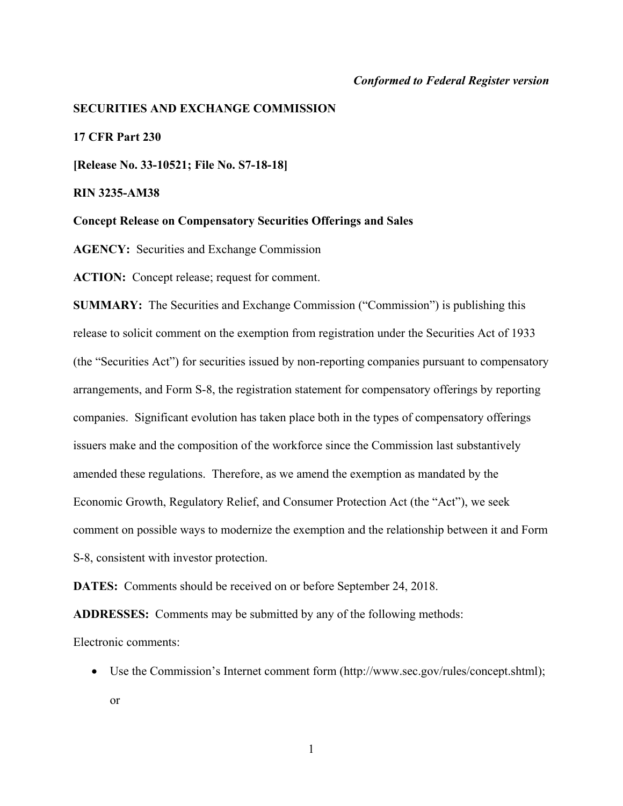#### *Conformed to Federal Register version*

## **SECURITIES AND EXCHANGE COMMISSION**

**17 CFR Part 230**

**[Release No. 33-10521; File No. S7-18-18]**

**RIN 3235-AM38**

**Concept Release on Compensatory Securities Offerings and Sales**

**AGENCY:** Securities and Exchange Commission

**ACTION:** Concept release; request for comment.

**SUMMARY:** The Securities and Exchange Commission ("Commission") is publishing this release to solicit comment on the exemption from registration under the Securities Act of 1933 (the "Securities Act") for securities issued by non-reporting companies pursuant to compensatory arrangements, and Form S-8, the registration statement for compensatory offerings by reporting companies. Significant evolution has taken place both in the types of compensatory offerings issuers make and the composition of the workforce since the Commission last substantively amended these regulations. Therefore, as we amend the exemption as mandated by the Economic Growth, Regulatory Relief, and Consumer Protection Act (the "Act"), we seek comment on possible ways to modernize the exemption and the relationship between it and Form S-8, consistent with investor protection.

**DATES:** Comments should be received on or before September 24, 2018.

**ADDRESSES:** Comments may be submitted by any of the following methods:

Electronic comments:

• Use the Commission's Internet comment form (http://www.sec.gov/rules/concept.shtml); or

1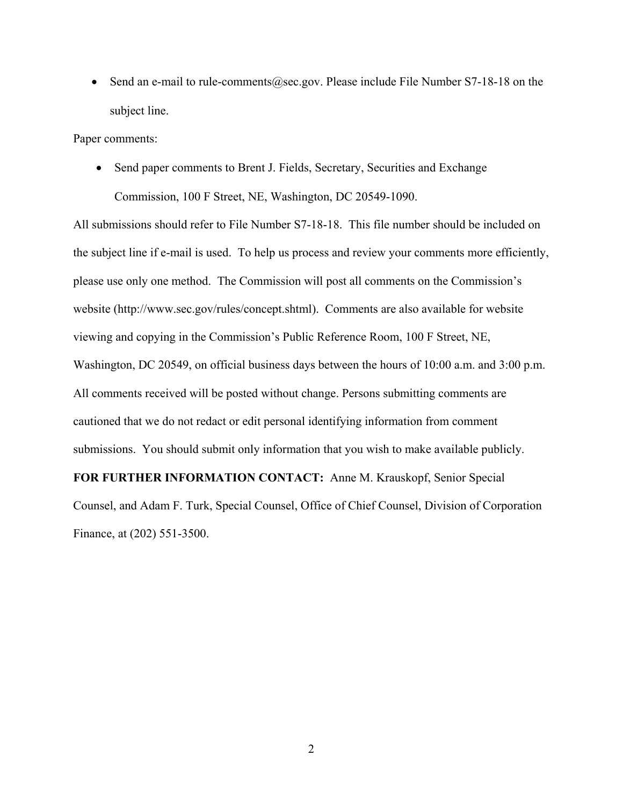• Send an e-mail to rule-comments@sec.gov. Please include File Number S7-18-18 on the subject line.

Paper comments:

• Send paper comments to Brent J. Fields, Secretary, Securities and Exchange Commission, 100 F Street, NE, Washington, DC 20549-1090.

All submissions should refer to File Number S7-18-18. This file number should be included on the subject line if e-mail is used. To help us process and review your comments more efficiently, please use only one method. The Commission will post all comments on the Commission's website (http://www.sec.gov/rules/concept.shtml). Comments are also available for website viewing and copying in the Commission's Public Reference Room, 100 F Street, NE, Washington, DC 20549, on official business days between the hours of 10:00 a.m. and 3:00 p.m. All comments received will be posted without change. Persons submitting comments are cautioned that we do not redact or edit personal identifying information from comment submissions. You should submit only information that you wish to make available publicly. **FOR FURTHER INFORMATION CONTACT:** Anne M. Krauskopf, Senior Special Counsel, and Adam F. Turk, Special Counsel, Office of Chief Counsel, Division of Corporation

Finance, at (202) 551-3500.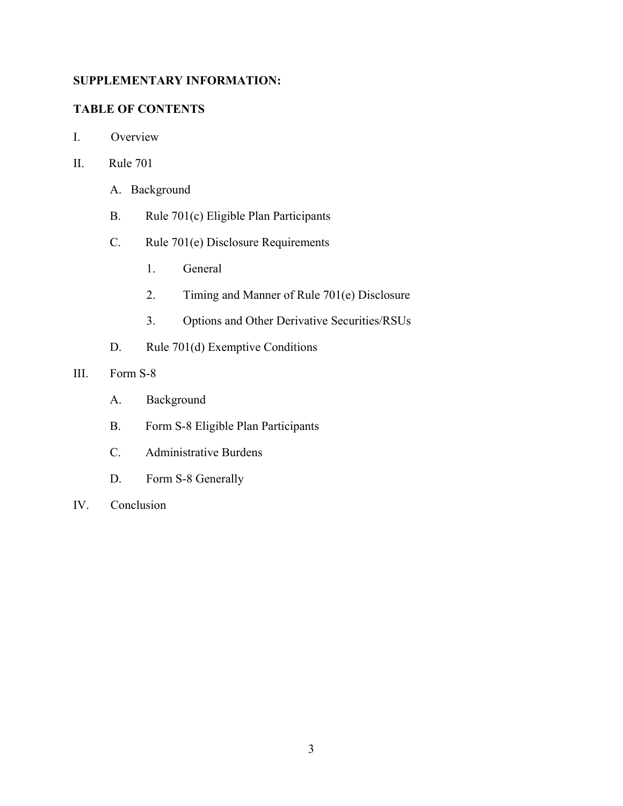# **SUPPLEMENTARY INFORMATION:**

# **TABLE OF CONTENTS**

- I. Overview
- II. Rule 701
	- A. Background
	- B. Rule 701(c) Eligible Plan Participants
	- C. Rule 701(e) Disclosure Requirements
		- 1. General
		- 2. Timing and Manner of Rule 701(e) Disclosure
		- 3. Options and Other Derivative Securities/RSUs
	- D. Rule 701(d) Exemptive Conditions
- III. Form S-8
	- A. Background
	- B. Form S-8 Eligible Plan Participants
	- C. Administrative Burdens
	- D. Form S-8 Generally
- IV. Conclusion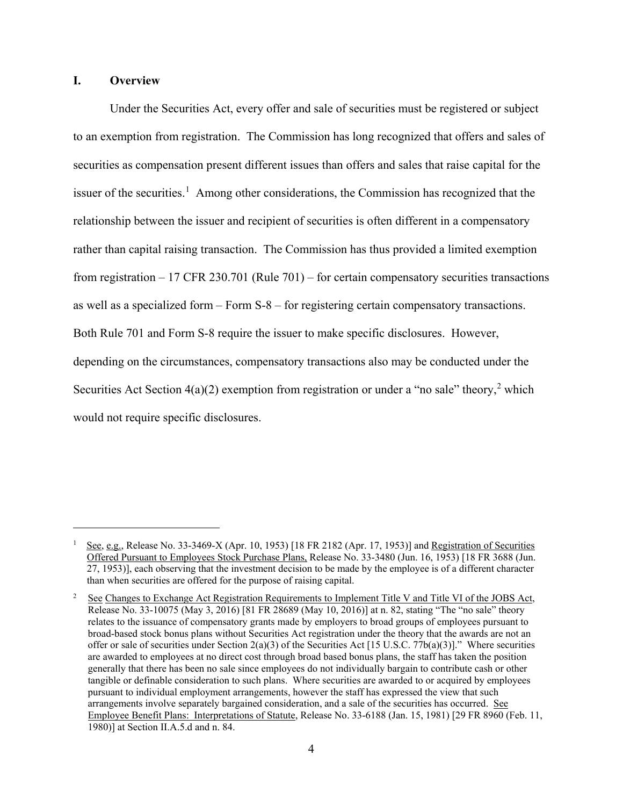## **I. Overview**

 $\overline{\phantom{a}}$ 

Under the Securities Act, every offer and sale of securities must be registered or subject to an exemption from registration. The Commission has long recognized that offers and sales of securities as compensation present different issues than offers and sales that raise capital for the issuer of the securities.<sup>[1](#page-3-0)</sup> Among other considerations, the Commission has recognized that the relationship between the issuer and recipient of securities is often different in a compensatory rather than capital raising transaction. The Commission has thus provided a limited exemption from registration – 17 CFR 230.701 (Rule 701) – for certain compensatory securities transactions as well as a specialized form – Form S-8 – for registering certain compensatory transactions. Both Rule 701 and Form S-8 require the issuer to make specific disclosures. However, depending on the circumstances, compensatory transactions also may be conducted under the Securities Act Section  $4(a)(2)$  $4(a)(2)$  $4(a)(2)$  exemption from registration or under a "no sale" theory,<sup>2</sup> which would not require specific disclosures.

<span id="page-3-0"></span><sup>1</sup> See, e.g., Release No. 33-3469-X (Apr. 10, 1953) [18 FR 2182 (Apr. 17, 1953)] and Registration of Securities Offered Pursuant to Employees Stock Purchase Plans, Release No. 33-3480 (Jun. 16, 1953) [18 FR 3688 (Jun. 27, 1953)], each observing that the investment decision to be made by the employee is of a different character than when securities are offered for the purpose of raising capital.

<span id="page-3-1"></span>See Changes to Exchange Act Registration Requirements to Implement Title V and Title VI of the JOBS Act, Release No. 33-10075 (May 3, 2016) [81 FR 28689 (May 10, 2016)] at n. 82, stating "The "no sale" theory relates to the issuance of compensatory grants made by employers to broad groups of employees pursuant to broad-based stock bonus plans without Securities Act registration under the theory that the awards are not an offer or sale of securities under Section 2(a)(3) of the Securities Act [15 U.S.C. 77b(a)(3)]." Where securities are awarded to employees at no direct cost through broad based bonus plans, the staff has taken the position generally that there has been no sale since employees do not individually bargain to contribute cash or other tangible or definable consideration to such plans. Where securities are awarded to or acquired by employees pursuant to individual employment arrangements, however the staff has expressed the view that such arrangements involve separately bargained consideration, and a sale of the securities has occurred. See Employee Benefit Plans: Interpretations of Statute, Release No. 33-6188 (Jan. 15, 1981) [29 FR 8960 (Feb. 11, 1980)] at Section II.A.5.d and n. 84.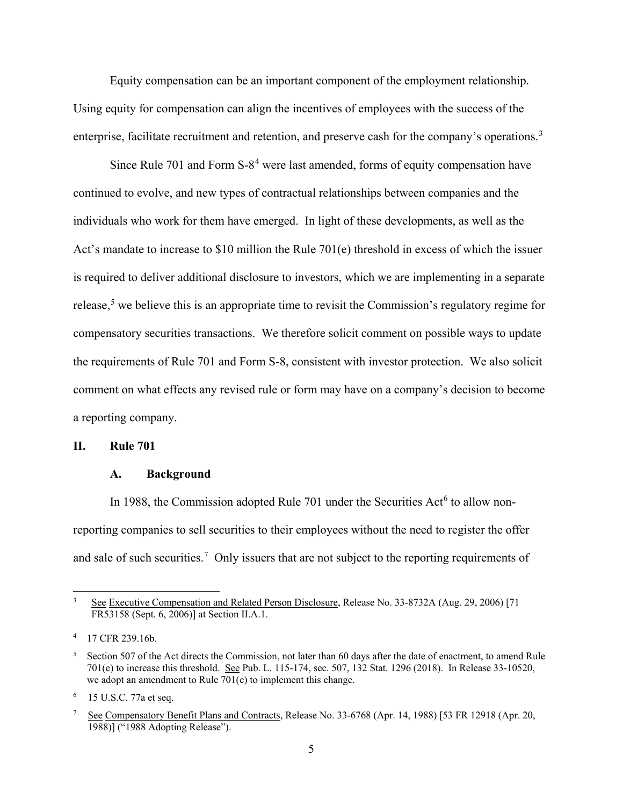Equity compensation can be an important component of the employment relationship. Using equity for compensation can align the incentives of employees with the success of the enterprise, facilitate recruitment and retention, and preserve cash for the company's operations.<sup>[3](#page-4-0)</sup>

Since Rule 701 and Form  $S-8<sup>4</sup>$  $S-8<sup>4</sup>$  $S-8<sup>4</sup>$  were last amended, forms of equity compensation have continued to evolve, and new types of contractual relationships between companies and the individuals who work for them have emerged. In light of these developments, as well as the Act's mandate to increase to \$10 million the Rule 701(e) threshold in excess of which the issuer is required to deliver additional disclosure to investors, which we are implementing in a separate release, [5](#page-4-2) we believe this is an appropriate time to revisit the Commission's regulatory regime for compensatory securities transactions. We therefore solicit comment on possible ways to update the requirements of Rule 701 and Form S-8, consistent with investor protection. We also solicit comment on what effects any revised rule or form may have on a company's decision to become a reporting company.

#### **II. Rule 701**

#### **A. Background**

In 1988, the Commission adopted Rule 701 under the Securities  $Act<sup>6</sup>$  $Act<sup>6</sup>$  $Act<sup>6</sup>$  to allow nonreporting companies to sell securities to their employees without the need to register the offer and sale of such securities.<sup>[7](#page-4-4)</sup> Only issuers that are not subject to the reporting requirements of

<span id="page-4-0"></span><sup>3</sup> See Executive Compensation and Related Person Disclosure, Release No. 33-8732A (Aug. 29, 2006) [71 FR53158 (Sept. 6, 2006)] at Section II.A.1.

<span id="page-4-1"></span><sup>4</sup> 17 CFR 239.16b.

<span id="page-4-2"></span> $5$  Section 507 of the Act directs the Commission, not later than 60 days after the date of enactment, to amend Rule 701(e) to increase this threshold. See Pub. L. 115-174, sec. 507, 132 Stat. 1296 (2018). In Release 33-10520, we adopt an amendment to Rule 701(e) to implement this change.

<span id="page-4-3"></span><sup>6</sup> 15 U.S.C. 77a et seq.

<span id="page-4-4"></span><sup>7</sup> See Compensatory Benefit Plans and Contracts, Release No. 33-6768 (Apr. 14, 1988) [53 FR 12918 (Apr. 20, 1988)] ("1988 Adopting Release").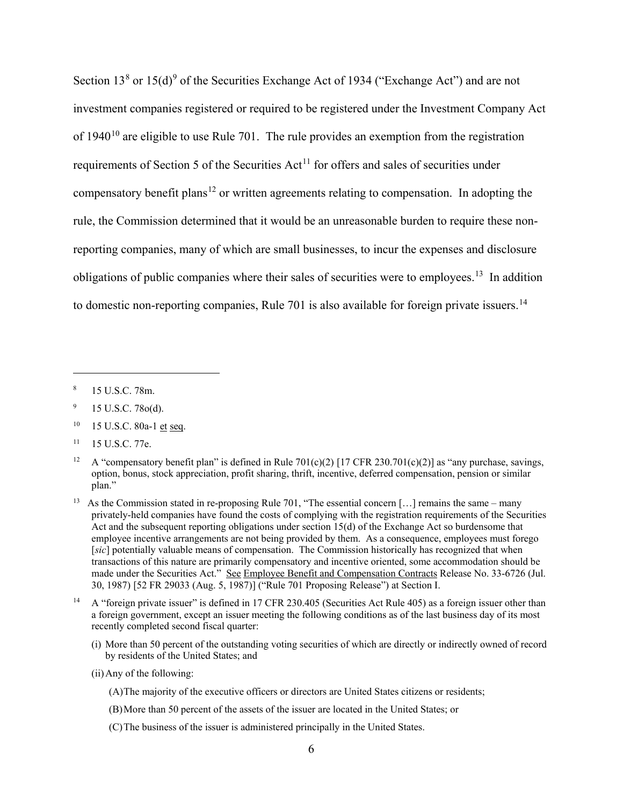Section  $13^8$  $13^8$  or  $15(d)^9$  $15(d)^9$  of the Securities Exchange Act of 1934 ("Exchange Act") and are not investment companies registered or required to be registered under the Investment Company Act of  $1940^{10}$  $1940^{10}$  $1940^{10}$  are eligible to use Rule 701. The rule provides an exemption from the registration requirements of Section 5 of the Securities  $Act<sup>11</sup>$  $Act<sup>11</sup>$  $Act<sup>11</sup>$  for offers and sales of securities under compensatory benefit plans<sup>[12](#page-5-4)</sup> or written agreements relating to compensation. In adopting the rule, the Commission determined that it would be an unreasonable burden to require these nonreporting companies, many of which are small businesses, to incur the expenses and disclosure obligations of public companies where their sales of securities were to employees.<sup>[13](#page-5-5)</sup> In addition to domestic non-reporting companies, Rule 701 is also available for foreign private issuers.<sup>[14](#page-5-6)</sup>

l

- <span id="page-5-2"></span><sup>10</sup> 15 U.S.C. 80a-1 et seq.
- <span id="page-5-3"></span> $11 - 15$  U.S.C. 77e.

- (i) More than 50 percent of the outstanding voting securities of which are directly or indirectly owned of record by residents of the United States; and
- (ii)Any of the following:
	- (A)The majority of the executive officers or directors are United States citizens or residents;
	- (B)More than 50 percent of the assets of the issuer are located in the United States; or
	- (C)The business of the issuer is administered principally in the United States.

<span id="page-5-0"></span><sup>8</sup> 15 U.S.C. 78m.

<span id="page-5-1"></span><sup>&</sup>lt;sup>9</sup> 15 U.S.C. 78o(d).

<span id="page-5-4"></span><sup>&</sup>lt;sup>12</sup> A "compensatory benefit plan" is defined in Rule 701(c)(2) [17 CFR 230.701(c)(2)] as "any purchase, savings, option, bonus, stock appreciation, profit sharing, thrift, incentive, deferred compensation, pension or similar plan."

<span id="page-5-5"></span><sup>&</sup>lt;sup>13</sup> As the Commission stated in re-proposing Rule 701, "The essential concern [...] remains the same – many privately-held companies have found the costs of complying with the registration requirements of the Securities Act and the subsequent reporting obligations under section 15(d) of the Exchange Act so burdensome that employee incentive arrangements are not being provided by them. As a consequence, employees must forego [sic] potentially valuable means of compensation. The Commission historically has recognized that when transactions of this nature are primarily compensatory and incentive oriented, some accommodation should be made under the Securities Act." See Employee Benefit and Compensation Contracts Release No. 33-6726 (Jul. 30, 1987) [52 FR 29033 (Aug. 5, 1987)] ("Rule 701 Proposing Release") at Section I.

<span id="page-5-6"></span><sup>&</sup>lt;sup>14</sup> A "foreign private issuer" is defined in 17 CFR 230.405 (Securities Act Rule 405) as a foreign issuer other than a foreign government, except an issuer meeting the following conditions as of the last business day of its most recently completed second fiscal quarter: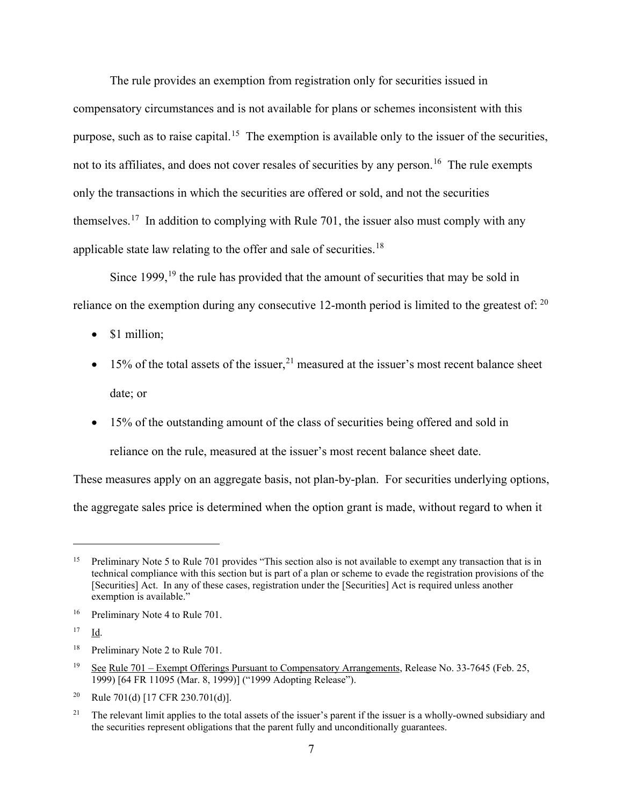The rule provides an exemption from registration only for securities issued in compensatory circumstances and is not available for plans or schemes inconsistent with this purpose, such as to raise capital.<sup>15</sup> The exemption is available only to the issuer of the securities, not to its affiliates, and does not cover resales of securities by any person.<sup>[16](#page-6-1)</sup> The rule exempts only the transactions in which the securities are offered or sold, and not the securities themselves.<sup>17</sup> In addition to complying with Rule 701, the issuer also must comply with any applicable state law relating to the offer and sale of securities.<sup>[18](#page-6-3)</sup>

Since [19](#page-6-4)99,<sup>19</sup> the rule has provided that the amount of securities that may be sold in reliance on the exemption during any consecutive 12-month period is limited to the greatest of: [20](#page-6-5)

- \$1 million;
- $\bullet$  15% of the total assets of the issuer,<sup>[21](#page-6-6)</sup> measured at the issuer's most recent balance sheet date; or
- 15% of the outstanding amount of the class of securities being offered and sold in reliance on the rule, measured at the issuer's most recent balance sheet date.

These measures apply on an aggregate basis, not plan-by-plan. For securities underlying options, the aggregate sales price is determined when the option grant is made, without regard to when it

l

<span id="page-6-5"></span><sup>20</sup> Rule 701(d) [17 CFR 230.701(d)].

<span id="page-6-0"></span><sup>&</sup>lt;sup>15</sup> Preliminary Note 5 to Rule 701 provides "This section also is not available to exempt any transaction that is in technical compliance with this section but is part of a plan or scheme to evade the registration provisions of the [Securities] Act. In any of these cases, registration under the [Securities] Act is required unless another exemption is available."

<span id="page-6-1"></span><sup>&</sup>lt;sup>16</sup> Preliminary Note 4 to Rule 701.

<span id="page-6-2"></span><sup>17</sup> Id.

<span id="page-6-3"></span><sup>&</sup>lt;sup>18</sup> Preliminary Note 2 to Rule 701.

<span id="page-6-4"></span><sup>&</sup>lt;sup>19</sup> See Rule 701 – Exempt Offerings Pursuant to Compensatory Arrangements, Release No. 33-7645 (Feb. 25, 1999) [64 FR 11095 (Mar. 8, 1999)] ("1999 Adopting Release").

<span id="page-6-6"></span><sup>&</sup>lt;sup>21</sup> The relevant limit applies to the total assets of the issuer's parent if the issuer is a wholly-owned subsidiary and the securities represent obligations that the parent fully and unconditionally guarantees.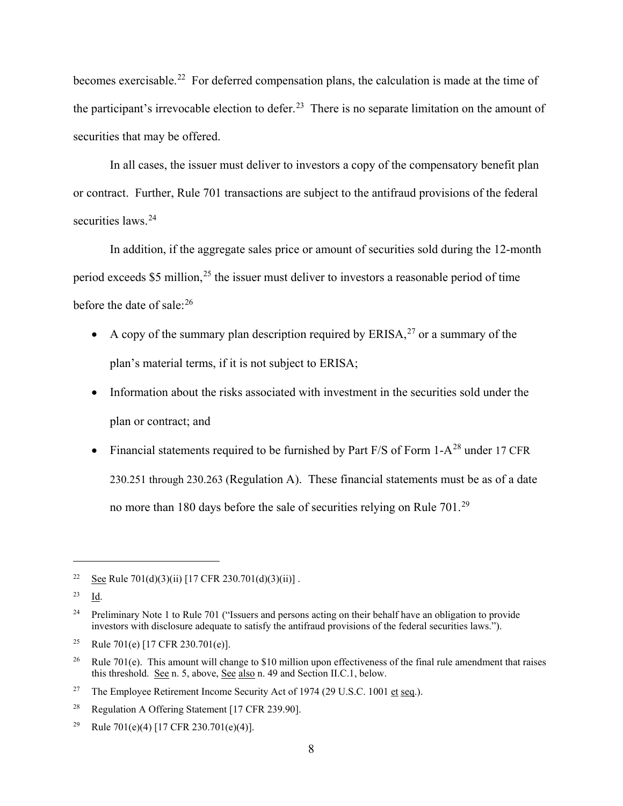becomes exercisable.<sup>[22](#page-7-0)</sup> For deferred compensation plans, the calculation is made at the time of the participant's irrevocable election to defer.<sup>[23](#page-7-1)</sup> There is no separate limitation on the amount of securities that may be offered.

In all cases, the issuer must deliver to investors a copy of the compensatory benefit plan or contract. Further, Rule 701 transactions are subject to the antifraud provisions of the federal securities laws<sup>24</sup>

In addition, if the aggregate sales price or amount of securities sold during the 12-month period exceeds \$5 million,<sup>[25](#page-7-3)</sup> the issuer must deliver to investors a reasonable period of time before the date of sale:[26](#page-7-4)

- A copy of the summary plan description required by ERISA,  $2^7$  or a summary of the plan's material terms, if it is not subject to ERISA;
- Information about the risks associated with investment in the securities sold under the plan or contract; and
- Financial statements required to be furnished by Part F/S of Form  $1-A^{28}$  $1-A^{28}$  $1-A^{28}$  under 17 CFR 230.251 through 230.263 (Regulation A). These financial statements must be as of a date no more than 180 days before the sale of securities relying on Rule 701.[29](#page-7-7)

<span id="page-7-0"></span><sup>&</sup>lt;sup>22</sup> See Rule 701(d)(3)(ii) [17 CFR 230.701(d)(3)(ii)].

<span id="page-7-1"></span> $^{23}$  Id.

<span id="page-7-2"></span><sup>&</sup>lt;sup>24</sup> Preliminary Note 1 to Rule 701 ("Issuers and persons acting on their behalf have an obligation to provide investors with disclosure adequate to satisfy the antifraud provisions of the federal securities laws.").

<span id="page-7-3"></span><sup>&</sup>lt;sup>25</sup> Rule 701(e) [17 CFR 230.701(e)].

<span id="page-7-4"></span><sup>&</sup>lt;sup>26</sup> Rule 701(e). This amount will change to \$10 million upon effectiveness of the final rule amendment that raises this threshold. See n. 5, above, See also n. 49 and Section II.C.1, below.

<span id="page-7-5"></span><sup>&</sup>lt;sup>27</sup> The Employee Retirement Income Security Act of 1974 (29 U.S.C. 1001 et seq.).

<span id="page-7-6"></span><sup>28</sup> Regulation A Offering Statement [17 CFR 239.90].

<span id="page-7-7"></span><sup>&</sup>lt;sup>29</sup> Rule 701(e)(4) [17 CFR 230.701(e)(4)].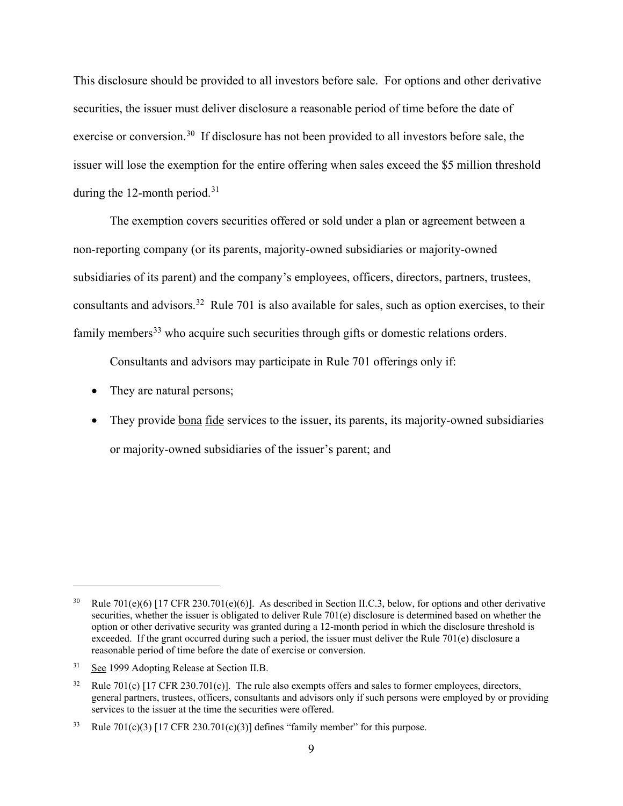This disclosure should be provided to all investors before sale. For options and other derivative securities, the issuer must deliver disclosure a reasonable period of time before the date of exercise or conversion.[30](#page-8-0) If disclosure has not been provided to all investors before sale, the issuer will lose the exemption for the entire offering when sales exceed the \$5 million threshold during the 12-month period.<sup>[31](#page-8-1)</sup>

The exemption covers securities offered or sold under a plan or agreement between a non-reporting company (or its parents, majority-owned subsidiaries or majority-owned subsidiaries of its parent) and the company's employees, officers, directors, partners, trustees, consultants and advisors.<sup>32</sup> Rule 701 is also available for sales, such as option exercises, to their family members<sup>[33](#page-8-3)</sup> who acquire such securities through gifts or domestic relations orders.

Consultants and advisors may participate in Rule 701 offerings only if:

- They are natural persons;
- They provide bona fide services to the issuer, its parents, its majority-owned subsidiaries or majority-owned subsidiaries of the issuer's parent; and

<span id="page-8-0"></span>Rule 701(e)(6) [17 CFR 230.701(e)(6)]. As described in Section II.C.3, below, for options and other derivative securities, whether the issuer is obligated to deliver Rule 701(e) disclosure is determined based on whether the option or other derivative security was granted during a 12-month period in which the disclosure threshold is exceeded. If the grant occurred during such a period, the issuer must deliver the Rule 701(e) disclosure a reasonable period of time before the date of exercise or conversion.

<span id="page-8-1"></span><sup>31</sup> See 1999 Adopting Release at Section II.B.

<span id="page-8-2"></span><sup>&</sup>lt;sup>32</sup> Rule 701(c) [17 CFR 230.701(c)]. The rule also exempts offers and sales to former employees, directors, general partners, trustees, officers, consultants and advisors only if such persons were employed by or providing services to the issuer at the time the securities were offered.

<span id="page-8-3"></span>Rule  $701(c)(3)$  [17 CFR 230.701(c)(3)] defines "family member" for this purpose.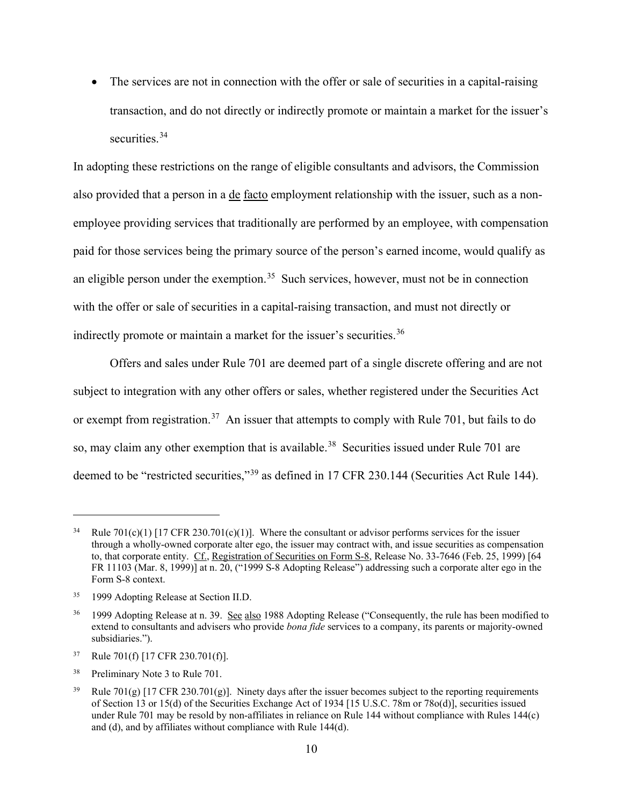• The services are not in connection with the offer or sale of securities in a capital-raising transaction, and do not directly or indirectly promote or maintain a market for the issuer's securities<sup>[34](#page-9-0)</sup>

In adopting these restrictions on the range of eligible consultants and advisors, the Commission also provided that a person in a de facto employment relationship with the issuer, such as a nonemployee providing services that traditionally are performed by an employee, with compensation paid for those services being the primary source of the person's earned income, would qualify as an eligible person under the exemption.<sup>35</sup> Such services, however, must not be in connection with the offer or sale of securities in a capital-raising transaction, and must not directly or indirectly promote or maintain a market for the issuer's securities.<sup>[36](#page-9-2)</sup>

Offers and sales under Rule 701 are deemed part of a single discrete offering and are not subject to integration with any other offers or sales, whether registered under the Securities Act or exempt from registration.<sup>37</sup> An issuer that attempts to comply with Rule 701, but fails to do so, may claim any other exemption that is available.<sup>[38](#page-9-4)</sup> Securities issued under Rule 701 are deemed to be "restricted securities,"[39](#page-9-5) as defined in 17 CFR 230.144 (Securities Act Rule 144).

l

<span id="page-9-0"></span><sup>&</sup>lt;sup>34</sup> Rule 701(c)(1) [17 CFR 230.701(c)(1)]. Where the consultant or advisor performs services for the issuer through a wholly-owned corporate alter ego, the issuer may contract with, and issue securities as compensation to, that corporate entity. Cf., Registration of Securities on Form S-8, Release No. 33-7646 (Feb. 25, 1999) [64 FR 11103 (Mar. 8, 1999)] at n. 20, ("1999 S-8 Adopting Release") addressing such a corporate alter ego in the Form S-8 context.

<span id="page-9-1"></span><sup>35</sup> 1999 Adopting Release at Section II.D.

<span id="page-9-2"></span><sup>&</sup>lt;sup>36</sup> 1999 Adopting Release at n. 39. See also 1988 Adopting Release ("Consequently, the rule has been modified to extend to consultants and advisers who provide *bona fide* services to a company, its parents or majority-owned subsidiaries.").

<span id="page-9-3"></span><sup>37</sup> Rule 701(f) [17 CFR 230.701(f)].

<span id="page-9-4"></span><sup>38</sup> Preliminary Note 3 to Rule 701.

<span id="page-9-5"></span><sup>&</sup>lt;sup>39</sup> Rule 701(g) [17 CFR 230.701(g)]. Ninety days after the issuer becomes subject to the reporting requirements of Section 13 or 15(d) of the Securities Exchange Act of 1934 [15 U.S.C. 78m or 78o(d)], securities issued under Rule 701 may be resold by non-affiliates in reliance on Rule 144 without compliance with Rules 144(c) and (d), and by affiliates without compliance with Rule 144(d).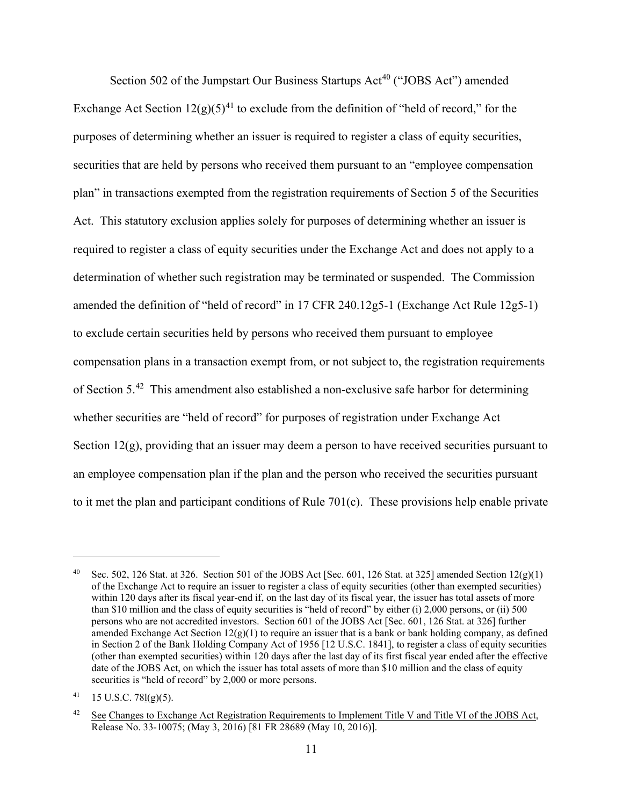Section 502 of the Jumpstart Our Business Startups Act<sup>[40](#page-10-0)</sup> ("JOBS Act") amended Exchange Act Section  $12(g)(5)^{41}$  $12(g)(5)^{41}$  $12(g)(5)^{41}$  to exclude from the definition of "held of record," for the purposes of determining whether an issuer is required to register a class of equity securities, securities that are held by persons who received them pursuant to an "employee compensation plan" in transactions exempted from the registration requirements of Section 5 of the Securities Act. This statutory exclusion applies solely for purposes of determining whether an issuer is required to register a class of equity securities under the Exchange Act and does not apply to a determination of whether such registration may be terminated or suspended. The Commission amended the definition of "held of record" in 17 CFR 240.12g5-1 (Exchange Act Rule 12g5-1) to exclude certain securities held by persons who received them pursuant to employee compensation plans in a transaction exempt from, or not subject to, the registration requirements of Section 5.[42](#page-10-2) This amendment also established a non-exclusive safe harbor for determining whether securities are "held of record" for purposes of registration under Exchange Act Section 12(g), providing that an issuer may deem a person to have received securities pursuant to an employee compensation plan if the plan and the person who received the securities pursuant to it met the plan and participant conditions of Rule 701(c). These provisions help enable private

<span id="page-10-0"></span>Sec. 502, 126 Stat. at 326. Section 501 of the JOBS Act [Sec. 601, 126 Stat. at 325] amended Section  $12(g)(1)$ of the Exchange Act to require an issuer to register a class of equity securities (other than exempted securities) within 120 days after its fiscal year-end if, on the last day of its fiscal year, the issuer has total assets of more than \$10 million and the class of equity securities is "held of record" by either (i) 2,000 persons, or (ii) 500 persons who are not accredited investors. Section 601 of the JOBS Act [Sec. 601, 126 Stat. at 326] further amended Exchange Act Section  $12(g)(1)$  to require an issuer that is a bank or bank holding company, as defined in Section 2 of the Bank Holding Company Act of 1956 [12 U.S.C. 1841], to register a class of equity securities (other than exempted securities) within 120 days after the last day of its first fiscal year ended after the effective date of the JOBS Act, on which the issuer has total assets of more than \$10 million and the class of equity securities is "held of record" by 2,000 or more persons.

<span id="page-10-1"></span> $^{41}$  15 U.S.C. 78 $\frac{1}{9}(5)$ .

<span id="page-10-2"></span><sup>&</sup>lt;sup>42</sup> See Changes to Exchange Act Registration Requirements to Implement Title V and Title VI of the JOBS Act, Release No. 33-10075; (May 3, 2016) [81 FR 28689 (May 10, 2016)].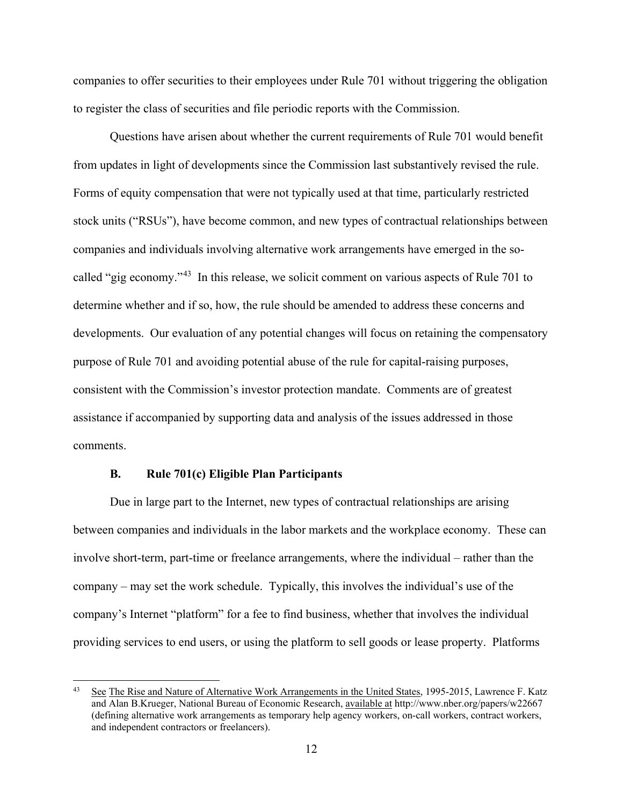companies to offer securities to their employees under Rule 701 without triggering the obligation to register the class of securities and file periodic reports with the Commission.

Questions have arisen about whether the current requirements of Rule 701 would benefit from updates in light of developments since the Commission last substantively revised the rule. Forms of equity compensation that were not typically used at that time, particularly restricted stock units ("RSUs"), have become common, and new types of contractual relationships between companies and individuals involving alternative work arrangements have emerged in the socalled "gig economy."[43](#page-11-0) In this release, we solicit comment on various aspects of Rule 701 to determine whether and if so, how, the rule should be amended to address these concerns and developments. Our evaluation of any potential changes will focus on retaining the compensatory purpose of Rule 701 and avoiding potential abuse of the rule for capital-raising purposes, consistent with the Commission's investor protection mandate. Comments are of greatest assistance if accompanied by supporting data and analysis of the issues addressed in those comments.

#### **B. Rule 701(c) Eligible Plan Participants**

 $\overline{\phantom{a}}$ 

Due in large part to the Internet, new types of contractual relationships are arising between companies and individuals in the labor markets and the workplace economy. These can involve short-term, part-time or freelance arrangements, where the individual – rather than the company – may set the work schedule. Typically, this involves the individual's use of the company's Internet "platform" for a fee to find business, whether that involves the individual providing services to end users, or using the platform to sell goods or lease property. Platforms

<span id="page-11-0"></span><sup>&</sup>lt;sup>43</sup> See The Rise and Nature of Alternative Work Arrangements in the United States, 1995-2015, Lawrence F. Katz and Alan B.Krueger, National Bureau of Economic Research, available at http://www.nber.org/papers/w22667 (defining alternative work arrangements as temporary help agency workers, on-call workers, contract workers, and independent contractors or freelancers).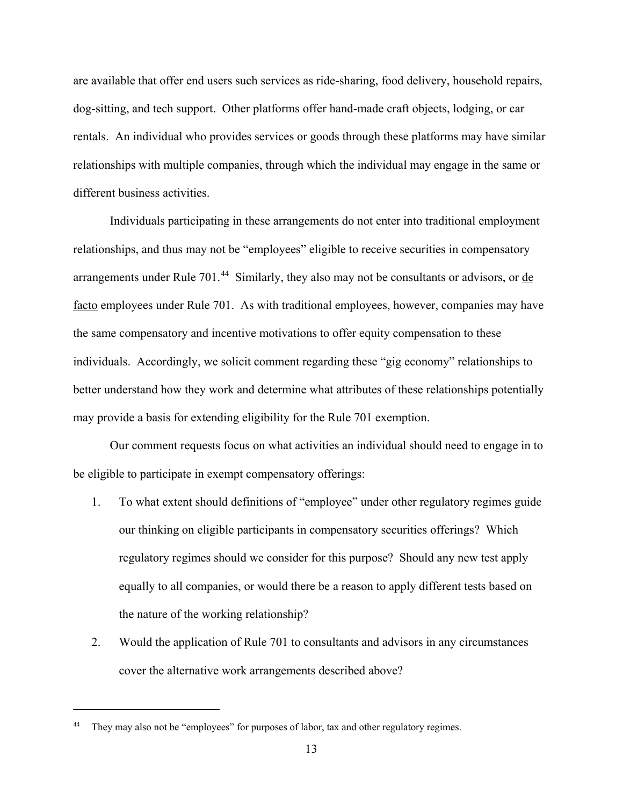are available that offer end users such services as ride-sharing, food delivery, household repairs, dog-sitting, and tech support. Other platforms offer hand-made craft objects, lodging, or car rentals. An individual who provides services or goods through these platforms may have similar relationships with multiple companies, through which the individual may engage in the same or different business activities.

Individuals participating in these arrangements do not enter into traditional employment relationships, and thus may not be "employees" eligible to receive securities in compensatory arrangements under Rule 701.<sup>[44](#page-12-0)</sup> Similarly, they also may not be consultants or advisors, or de facto employees under Rule 701. As with traditional employees, however, companies may have the same compensatory and incentive motivations to offer equity compensation to these individuals. Accordingly, we solicit comment regarding these "gig economy" relationships to better understand how they work and determine what attributes of these relationships potentially may provide a basis for extending eligibility for the Rule 701 exemption.

Our comment requests focus on what activities an individual should need to engage in to be eligible to participate in exempt compensatory offerings:

- 1. To what extent should definitions of "employee" under other regulatory regimes guide our thinking on eligible participants in compensatory securities offerings? Which regulatory regimes should we consider for this purpose? Should any new test apply equally to all companies, or would there be a reason to apply different tests based on the nature of the working relationship?
- 2. Would the application of Rule 701 to consultants and advisors in any circumstances cover the alternative work arrangements described above?

<span id="page-12-0"></span>They may also not be "employees" for purposes of labor, tax and other regulatory regimes.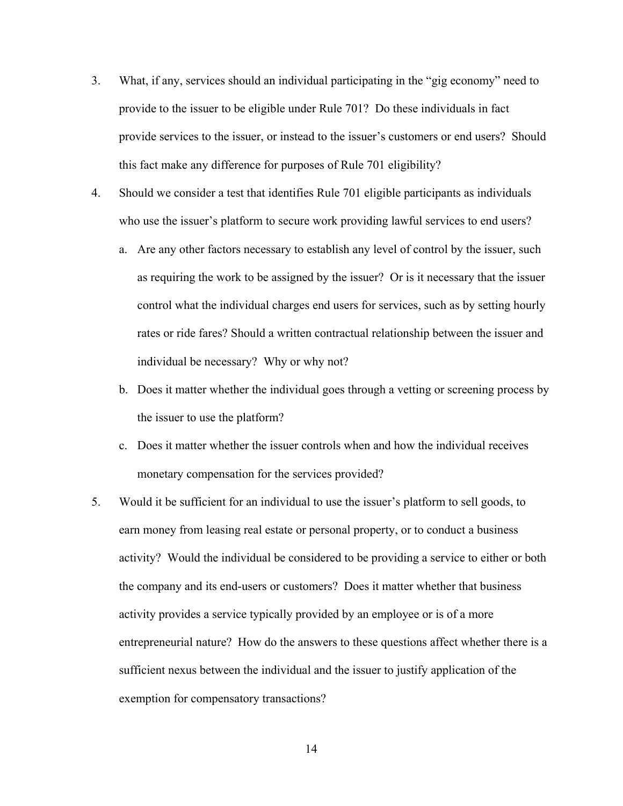- 3. What, if any, services should an individual participating in the "gig economy" need to provide to the issuer to be eligible under Rule 701? Do these individuals in fact provide services to the issuer, or instead to the issuer's customers or end users? Should this fact make any difference for purposes of Rule 701 eligibility?
- 4. Should we consider a test that identifies Rule 701 eligible participants as individuals who use the issuer's platform to secure work providing lawful services to end users?
	- a. Are any other factors necessary to establish any level of control by the issuer, such as requiring the work to be assigned by the issuer? Or is it necessary that the issuer control what the individual charges end users for services, such as by setting hourly rates or ride fares? Should a written contractual relationship between the issuer and individual be necessary? Why or why not?
	- b. Does it matter whether the individual goes through a vetting or screening process by the issuer to use the platform?
	- c. Does it matter whether the issuer controls when and how the individual receives monetary compensation for the services provided?
- 5. Would it be sufficient for an individual to use the issuer's platform to sell goods, to earn money from leasing real estate or personal property, or to conduct a business activity? Would the individual be considered to be providing a service to either or both the company and its end-users or customers? Does it matter whether that business activity provides a service typically provided by an employee or is of a more entrepreneurial nature? How do the answers to these questions affect whether there is a sufficient nexus between the individual and the issuer to justify application of the exemption for compensatory transactions?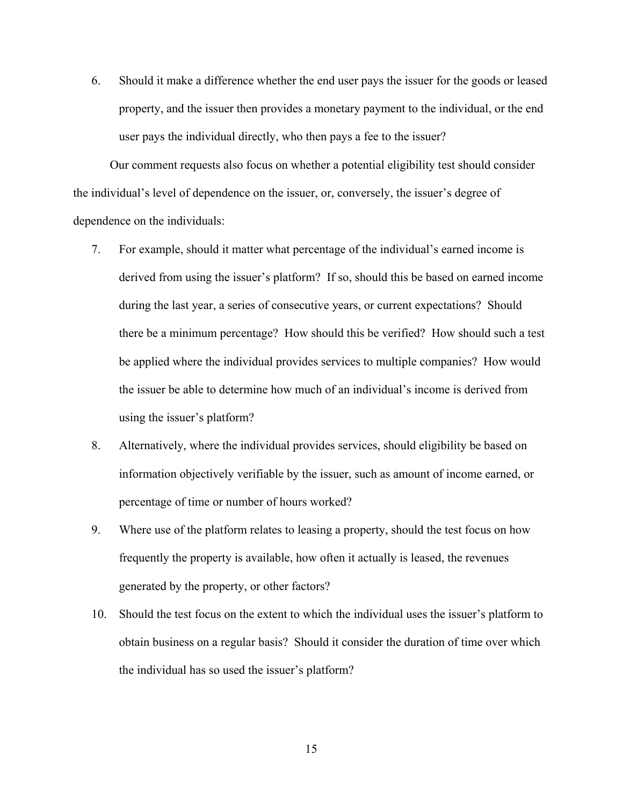6. Should it make a difference whether the end user pays the issuer for the goods or leased property, and the issuer then provides a monetary payment to the individual, or the end user pays the individual directly, who then pays a fee to the issuer?

Our comment requests also focus on whether a potential eligibility test should consider the individual's level of dependence on the issuer, or, conversely, the issuer's degree of dependence on the individuals:

- 7. For example, should it matter what percentage of the individual's earned income is derived from using the issuer's platform? If so, should this be based on earned income during the last year, a series of consecutive years, or current expectations? Should there be a minimum percentage? How should this be verified? How should such a test be applied where the individual provides services to multiple companies? How would the issuer be able to determine how much of an individual's income is derived from using the issuer's platform?
- 8. Alternatively, where the individual provides services, should eligibility be based on information objectively verifiable by the issuer, such as amount of income earned, or percentage of time or number of hours worked?
- 9. Where use of the platform relates to leasing a property, should the test focus on how frequently the property is available, how often it actually is leased, the revenues generated by the property, or other factors?
- 10. Should the test focus on the extent to which the individual uses the issuer's platform to obtain business on a regular basis? Should it consider the duration of time over which the individual has so used the issuer's platform?

15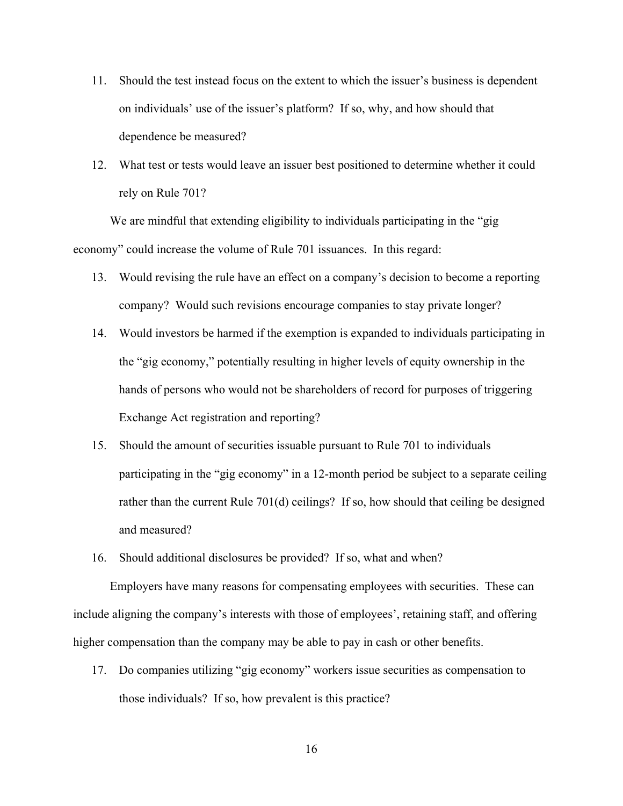- 11. Should the test instead focus on the extent to which the issuer's business is dependent on individuals' use of the issuer's platform? If so, why, and how should that dependence be measured?
- 12. What test or tests would leave an issuer best positioned to determine whether it could rely on Rule 701?

We are mindful that extending eligibility to individuals participating in the "gig economy" could increase the volume of Rule 701 issuances. In this regard:

- 13. Would revising the rule have an effect on a company's decision to become a reporting company? Would such revisions encourage companies to stay private longer?
- 14. Would investors be harmed if the exemption is expanded to individuals participating in the "gig economy," potentially resulting in higher levels of equity ownership in the hands of persons who would not be shareholders of record for purposes of triggering Exchange Act registration and reporting?
- 15. Should the amount of securities issuable pursuant to Rule 701 to individuals participating in the "gig economy" in a 12-month period be subject to a separate ceiling rather than the current Rule 701(d) ceilings? If so, how should that ceiling be designed and measured?
- 16. Should additional disclosures be provided? If so, what and when?

Employers have many reasons for compensating employees with securities. These can include aligning the company's interests with those of employees', retaining staff, and offering higher compensation than the company may be able to pay in cash or other benefits.

17. Do companies utilizing "gig economy" workers issue securities as compensation to those individuals? If so, how prevalent is this practice?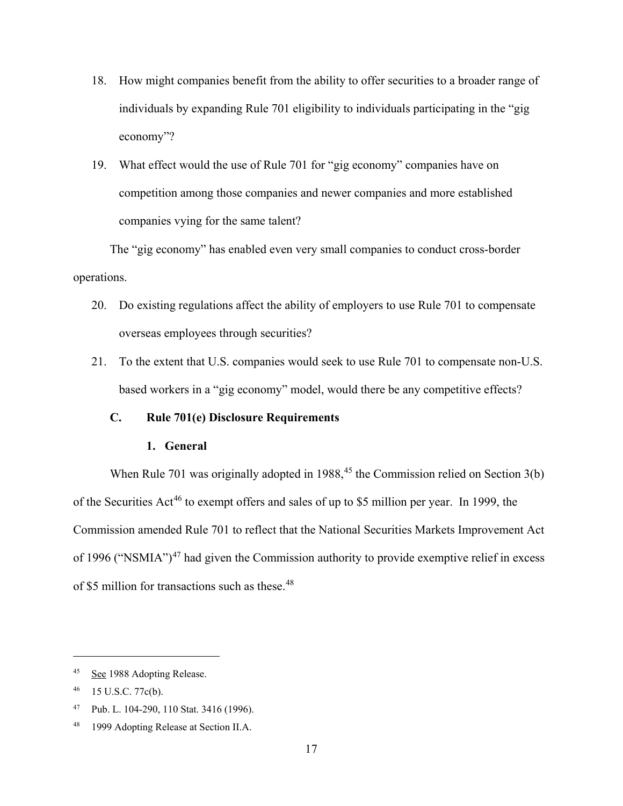- 18. How might companies benefit from the ability to offer securities to a broader range of individuals by expanding Rule 701 eligibility to individuals participating in the "gig economy"?
- 19. What effect would the use of Rule 701 for "gig economy" companies have on competition among those companies and newer companies and more established companies vying for the same talent?

The "gig economy" has enabled even very small companies to conduct cross-border operations.

- 20. Do existing regulations affect the ability of employers to use Rule 701 to compensate overseas employees through securities?
- 21. To the extent that U.S. companies would seek to use Rule 701 to compensate non-U.S. based workers in a "gig economy" model, would there be any competitive effects?

## **C. Rule 701(e) Disclosure Requirements**

## **1. General**

When Rule 701 was originally adopted in  $1988<sup>45</sup>$  $1988<sup>45</sup>$  $1988<sup>45</sup>$ , the Commission relied on Section 3(b) of the Securities Act<sup>[46](#page-16-1)</sup> to exempt offers and sales of up to \$5 million per year. In 1999, the Commission amended Rule 701 to reflect that the National Securities Markets Improvement Act of 1996 ("NSMIA")<sup>[47](#page-16-2)</sup> had given the Commission authority to provide exemptive relief in excess of \$5 million for transactions such as these.<sup>[48](#page-16-3)</sup>

<span id="page-16-0"></span><sup>45</sup> See 1988 Adopting Release.

<span id="page-16-1"></span> $46$  15 U.S.C. 77c(b).

<span id="page-16-2"></span><sup>47</sup> Pub. L. 104-290, 110 Stat. 3416 (1996).

<span id="page-16-3"></span><sup>48</sup> 1999 Adopting Release at Section II.A.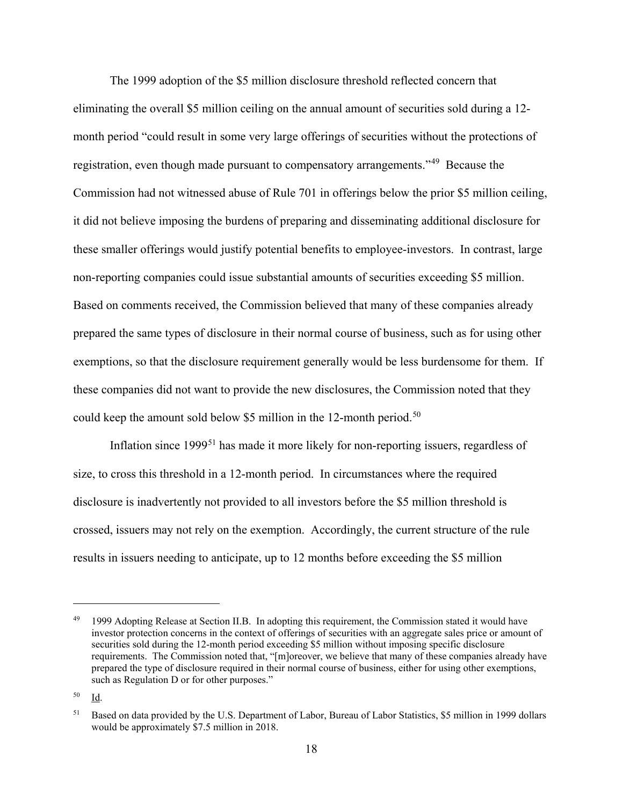The 1999 adoption of the \$5 million disclosure threshold reflected concern that eliminating the overall \$5 million ceiling on the annual amount of securities sold during a 12 month period "could result in some very large offerings of securities without the protections of registration, even though made pursuant to compensatory arrangements."[49](#page-17-0) Because the Commission had not witnessed abuse of Rule 701 in offerings below the prior \$5 million ceiling, it did not believe imposing the burdens of preparing and disseminating additional disclosure for these smaller offerings would justify potential benefits to employee-investors. In contrast, large non-reporting companies could issue substantial amounts of securities exceeding \$5 million. Based on comments received, the Commission believed that many of these companies already prepared the same types of disclosure in their normal course of business, such as for using other exemptions, so that the disclosure requirement generally would be less burdensome for them. If these companies did not want to provide the new disclosures, the Commission noted that they could keep the amount sold below \$5 million in the 12-month period.<sup>[50](#page-17-1)</sup>

Inflation since 1999<sup>[51](#page-17-2)</sup> has made it more likely for non-reporting issuers, regardless of size, to cross this threshold in a 12-month period. In circumstances where the required disclosure is inadvertently not provided to all investors before the \$5 million threshold is crossed, issuers may not rely on the exemption. Accordingly, the current structure of the rule results in issuers needing to anticipate, up to 12 months before exceeding the \$5 million

l

<span id="page-17-0"></span><sup>&</sup>lt;sup>49</sup> 1999 Adopting Release at Section II.B. In adopting this requirement, the Commission stated it would have investor protection concerns in the context of offerings of securities with an aggregate sales price or amount of securities sold during the 12-month period exceeding \$5 million without imposing specific disclosure requirements. The Commission noted that, "[m]oreover, we believe that many of these companies already have prepared the type of disclosure required in their normal course of business, either for using other exemptions, such as Regulation D or for other purposes."

<span id="page-17-1"></span><sup>50</sup> Id.

<span id="page-17-2"></span><sup>51</sup> Based on data provided by the U.S. Department of Labor, Bureau of Labor Statistics, \$5 million in 1999 dollars would be approximately \$7.5 million in 2018.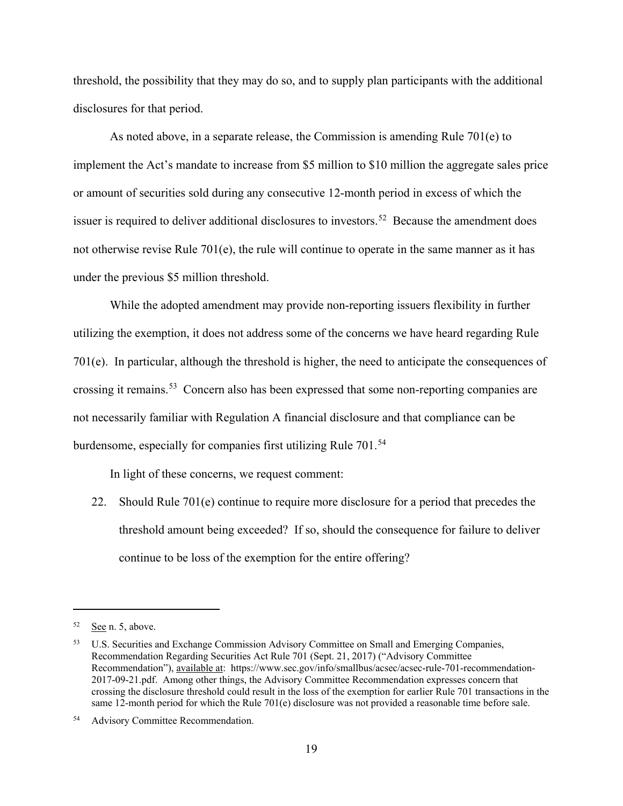threshold, the possibility that they may do so, and to supply plan participants with the additional disclosures for that period.

As noted above, in a separate release, the Commission is amending Rule 701(e) to implement the Act's mandate to increase from \$5 million to \$10 million the aggregate sales price or amount of securities sold during any consecutive 12-month period in excess of which the issuer is required to deliver additional disclosures to investors.<sup>[52](#page-18-0)</sup> Because the amendment does not otherwise revise Rule 701(e), the rule will continue to operate in the same manner as it has under the previous \$5 million threshold.

While the adopted amendment may provide non-reporting issuers flexibility in further utilizing the exemption, it does not address some of the concerns we have heard regarding Rule 701(e). In particular, although the threshold is higher, the need to anticipate the consequences of crossing it remains.<sup>[53](#page-18-1)</sup> Concern also has been expressed that some non-reporting companies are not necessarily familiar with Regulation A financial disclosure and that compliance can be burdensome, especially for companies first utilizing Rule 701.<sup>[54](#page-18-2)</sup>

In light of these concerns, we request comment:

22. Should Rule 701(e) continue to require more disclosure for a period that precedes the threshold amount being exceeded? If so, should the consequence for failure to deliver continue to be loss of the exemption for the entire offering?

<span id="page-18-0"></span><sup>52</sup> See n. 5, above.

<span id="page-18-1"></span><sup>53</sup> U.S. Securities and Exchange Commission Advisory Committee on Small and Emerging Companies, Recommendation Regarding Securities Act Rule 701 (Sept. 21, 2017) ("Advisory Committee Recommendation"), available at: https://www.sec.gov/info/smallbus/acsec/acsec-rule-701-recommendation-2017-09-21.pdf. Among other things, the Advisory Committee Recommendation expresses concern that crossing the disclosure threshold could result in the loss of the exemption for earlier Rule 701 transactions in the same 12-month period for which the Rule 701(e) disclosure was not provided a reasonable time before sale.

<span id="page-18-2"></span><sup>54</sup> Advisory Committee Recommendation.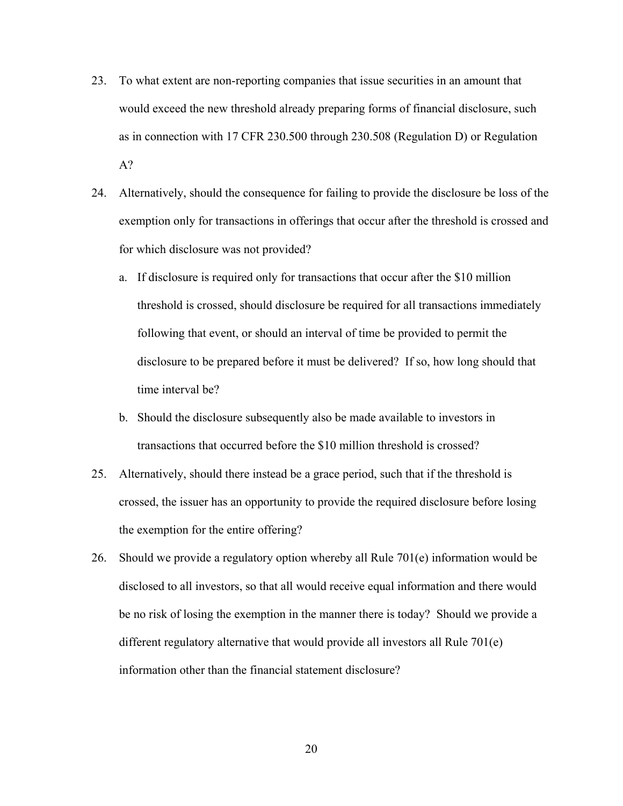- 23. To what extent are non-reporting companies that issue securities in an amount that would exceed the new threshold already preparing forms of financial disclosure, such as in connection with 17 CFR 230.500 through 230.508 (Regulation D) or Regulation A?
- 24. Alternatively, should the consequence for failing to provide the disclosure be loss of the exemption only for transactions in offerings that occur after the threshold is crossed and for which disclosure was not provided?
	- a. If disclosure is required only for transactions that occur after the \$10 million threshold is crossed, should disclosure be required for all transactions immediately following that event, or should an interval of time be provided to permit the disclosure to be prepared before it must be delivered? If so, how long should that time interval be?
	- b. Should the disclosure subsequently also be made available to investors in transactions that occurred before the \$10 million threshold is crossed?
- 25. Alternatively, should there instead be a grace period, such that if the threshold is crossed, the issuer has an opportunity to provide the required disclosure before losing the exemption for the entire offering?
- 26. Should we provide a regulatory option whereby all Rule 701(e) information would be disclosed to all investors, so that all would receive equal information and there would be no risk of losing the exemption in the manner there is today? Should we provide a different regulatory alternative that would provide all investors all Rule 701(e) information other than the financial statement disclosure?

20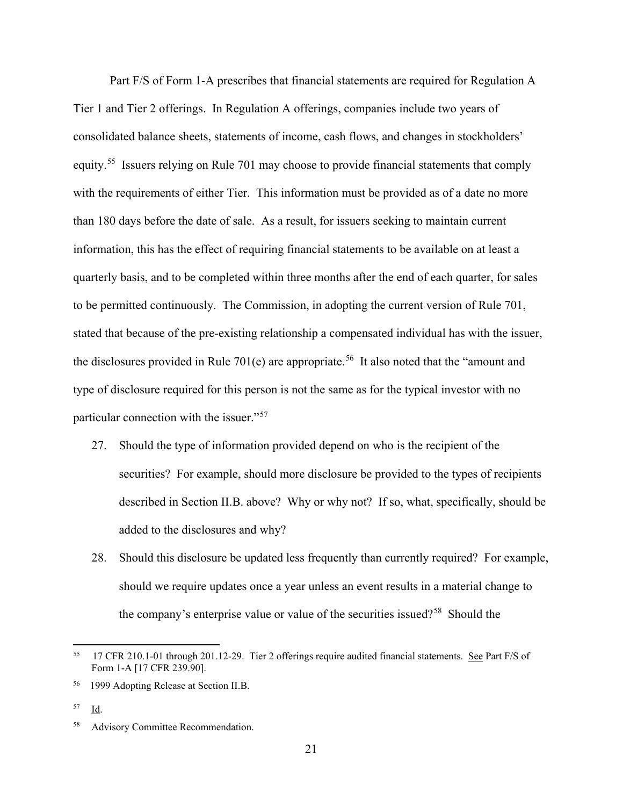Part F/S of Form 1-A prescribes that financial statements are required for Regulation A Tier 1 and Tier 2 offerings. In Regulation A offerings, companies include two years of consolidated balance sheets, statements of income, cash flows, and changes in stockholders' equity.<sup>55</sup> Issuers relying on Rule 701 may choose to provide financial statements that comply with the requirements of either Tier. This information must be provided as of a date no more than 180 days before the date of sale. As a result, for issuers seeking to maintain current information, this has the effect of requiring financial statements to be available on at least a quarterly basis, and to be completed within three months after the end of each quarter, for sales to be permitted continuously. The Commission, in adopting the current version of Rule 701, stated that because of the pre-existing relationship a compensated individual has with the issuer, the disclosures provided in Rule 701(e) are appropriate.<sup>56</sup> It also noted that the "amount and type of disclosure required for this person is not the same as for the typical investor with no particular connection with the issuer."[57](#page-20-2)

- 27. Should the type of information provided depend on who is the recipient of the securities? For example, should more disclosure be provided to the types of recipients described in Section II.B. above? Why or why not? If so, what, specifically, should be added to the disclosures and why?
- 28. Should this disclosure be updated less frequently than currently required? For example, should we require updates once a year unless an event results in a material change to the company's enterprise value or value of the securities issued?[58](#page-20-3) Should the

<span id="page-20-0"></span><sup>55</sup> 55 17 CFR 210.1-01 through 201.12-29. Tier 2 offerings require audited financial statements. See Part F/S of Form 1-A [17 CFR 239.90].

<span id="page-20-1"></span><sup>56 1999</sup> Adopting Release at Section II.B.

<span id="page-20-2"></span><sup>57</sup> Id.

<span id="page-20-3"></span><sup>58</sup> Advisory Committee Recommendation.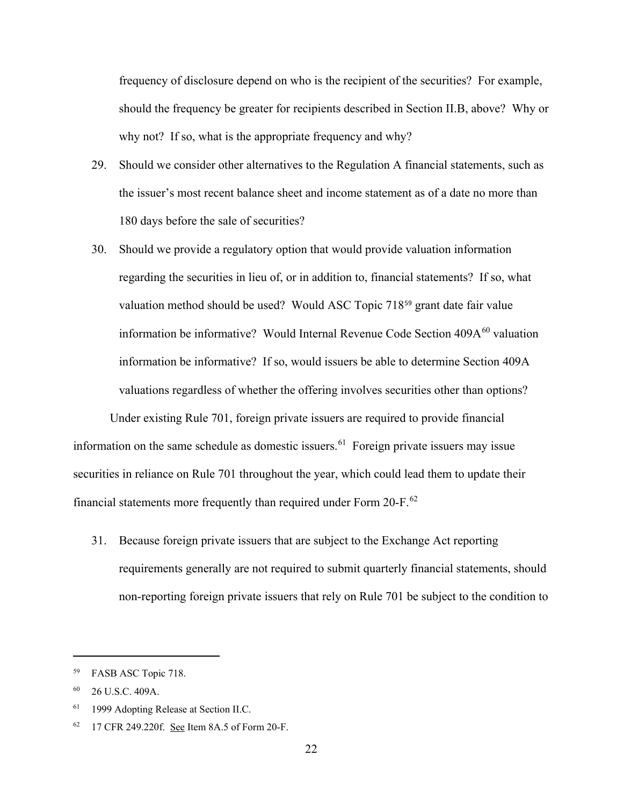frequency of disclosure depend on who is the recipient of the securities? For example, should the frequency be greater for recipients described in Section II.B, above? Why or why not? If so, what is the appropriate frequency and why?

- 29. Should we consider other alternatives to the Regulation A financial statements, such as the issuer's most recent balance sheet and income statement as of a date no more than 180 days before the sale of securities?
- 30. Should we provide a regulatory option that would provide valuation information regarding the securities in lieu of, or in addition to, financial statements? If so, what valuation method should be used? Would ASC Topic 718<sup>[59](#page-21-0)</sup> grant date fair value information be informative? Would Internal Revenue Code Section  $409A^{60}$  $409A^{60}$  $409A^{60}$  valuation information be informative? If so, would issuers be able to determine Section 409A valuations regardless of whether the offering involves securities other than options?

Under existing Rule 701, foreign private issuers are required to provide financial information on the same schedule as domestic issuers. [61](#page-21-2) Foreign private issuers may issue securities in reliance on Rule 701 throughout the year, which could lead them to update their financial statements more frequently than required under Form 20-F.[62](#page-21-3) 

31. Because foreign private issuers that are subject to the Exchange Act reporting requirements generally are not required to submit quarterly financial statements, should non-reporting foreign private issuers that rely on Rule 701 be subject to the condition to

<span id="page-21-0"></span>FASB ASC Topic 718.

<span id="page-21-1"></span> $60$  26 U.S.C. 409A.

<span id="page-21-2"></span><sup>61</sup> 1999 Adopting Release at Section II.C.

<span id="page-21-3"></span><sup>62</sup> 17 CFR 249.220f. See Item 8A.5 of Form 20-F.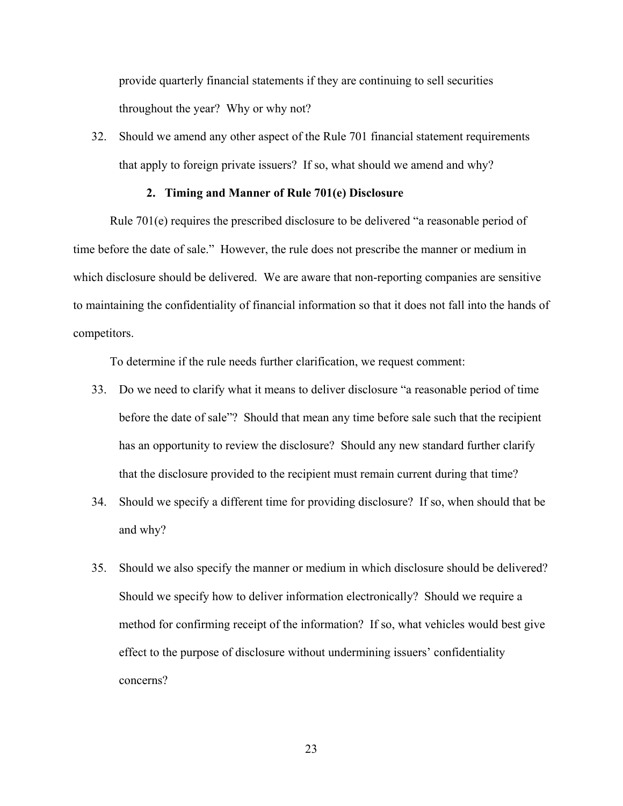provide quarterly financial statements if they are continuing to sell securities throughout the year? Why or why not?

32. Should we amend any other aspect of the Rule 701 financial statement requirements that apply to foreign private issuers? If so, what should we amend and why?

#### **2. Timing and Manner of Rule 701(e) Disclosure**

Rule 701(e) requires the prescribed disclosure to be delivered "a reasonable period of time before the date of sale." However, the rule does not prescribe the manner or medium in which disclosure should be delivered. We are aware that non-reporting companies are sensitive to maintaining the confidentiality of financial information so that it does not fall into the hands of competitors.

To determine if the rule needs further clarification, we request comment:

- 33. Do we need to clarify what it means to deliver disclosure "a reasonable period of time before the date of sale"? Should that mean any time before sale such that the recipient has an opportunity to review the disclosure? Should any new standard further clarify that the disclosure provided to the recipient must remain current during that time?
- 34. Should we specify a different time for providing disclosure? If so, when should that be and why?
- 35. Should we also specify the manner or medium in which disclosure should be delivered? Should we specify how to deliver information electronically? Should we require a method for confirming receipt of the information? If so, what vehicles would best give effect to the purpose of disclosure without undermining issuers' confidentiality concerns?

23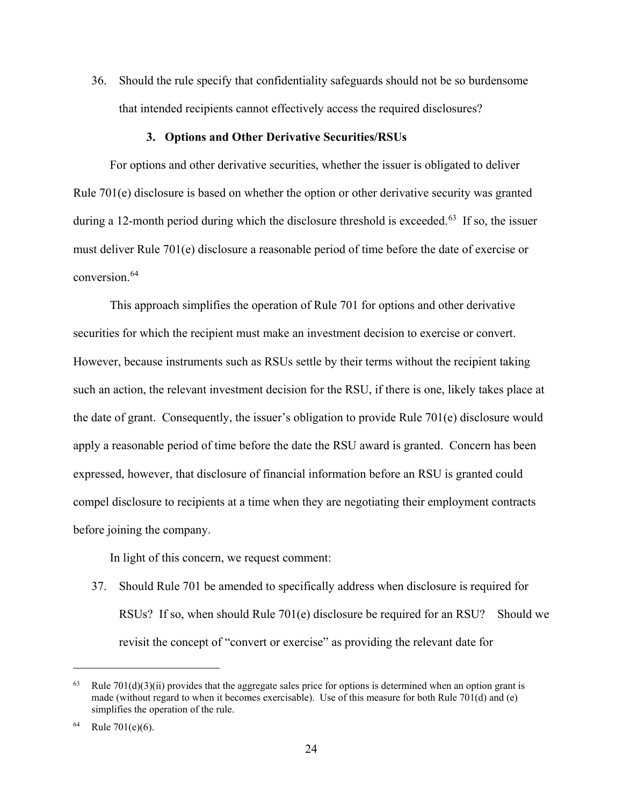36. Should the rule specify that confidentiality safeguards should not be so burdensome that intended recipients cannot effectively access the required disclosures?

#### **3. Options and Other Derivative Securities/RSUs**

For options and other derivative securities, whether the issuer is obligated to deliver Rule 701(e) disclosure is based on whether the option or other derivative security was granted during a 12-month period during which the disclosure threshold is exceeded.<sup>63</sup> If so, the issuer must deliver Rule 701(e) disclosure a reasonable period of time before the date of exercise or conversion. [64](#page-23-1)

This approach simplifies the operation of Rule 701 for options and other derivative securities for which the recipient must make an investment decision to exercise or convert. However, because instruments such as RSUs settle by their terms without the recipient taking such an action, the relevant investment decision for the RSU, if there is one, likely takes place at the date of grant. Consequently, the issuer's obligation to provide Rule 701(e) disclosure would apply a reasonable period of time before the date the RSU award is granted. Concern has been expressed, however, that disclosure of financial information before an RSU is granted could compel disclosure to recipients at a time when they are negotiating their employment contracts before joining the company.

In light of this concern, we request comment:

37. Should Rule 701 be amended to specifically address when disclosure is required for RSUs? If so, when should Rule 701(e) disclosure be required for an RSU? Should we revisit the concept of "convert or exercise" as providing the relevant date for

<span id="page-23-0"></span>Rule 701(d)(3)(ii) provides that the aggregate sales price for options is determined when an option grant is made (without regard to when it becomes exercisable). Use of this measure for both Rule 701(d) and (e) simplifies the operation of the rule.

<span id="page-23-1"></span> $64$  Rule 701(e)(6).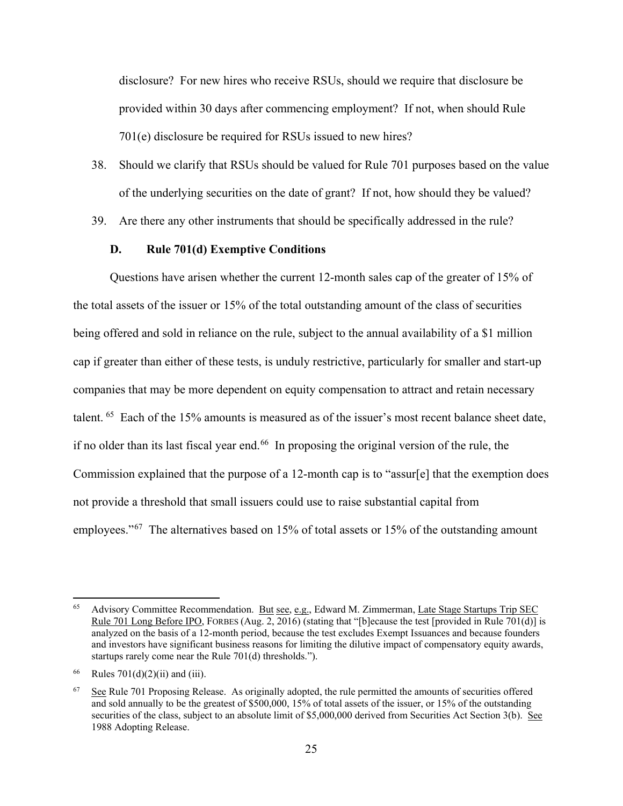disclosure? For new hires who receive RSUs, should we require that disclosure be provided within 30 days after commencing employment? If not, when should Rule 701(e) disclosure be required for RSUs issued to new hires?

- 38. Should we clarify that RSUs should be valued for Rule 701 purposes based on the value of the underlying securities on the date of grant? If not, how should they be valued?
- 39. Are there any other instruments that should be specifically addressed in the rule?

## **D. Rule 701(d) Exemptive Conditions**

Questions have arisen whether the current 12-month sales cap of the greater of 15% of the total assets of the issuer or 15% of the total outstanding amount of the class of securities being offered and sold in reliance on the rule, subject to the annual availability of a \$1 million cap if greater than either of these tests, is unduly restrictive, particularly for smaller and start-up companies that may be more dependent on equity compensation to attract and retain necessary talent. [65](#page-24-0) Each of the 15% amounts is measured as of the issuer's most recent balance sheet date, if no older than its last fiscal year end.<sup>[66](#page-24-1)</sup> In proposing the original version of the rule, the Commission explained that the purpose of a 12-month cap is to "assur[e] that the exemption does not provide a threshold that small issuers could use to raise substantial capital from employees."<sup>[67](#page-24-2)</sup> The alternatives based on 15% of total assets or 15% of the outstanding amount

<span id="page-24-0"></span><sup>65</sup> Advisory Committee Recommendation. But see, e.g., Edward M. Zimmerman, Late Stage Startups Trip SEC Rule 701 Long Before IPO, FORBES (Aug. 2, 2016) (stating that "[b]ecause the test [provided in Rule 701(d)] is analyzed on the basis of a 12-month period, because the test excludes Exempt Issuances and because founders and investors have significant business reasons for limiting the dilutive impact of compensatory equity awards, startups rarely come near the Rule 701(d) thresholds.").

<span id="page-24-1"></span>Rules  $701(d)(2)(ii)$  and (iii).

<span id="page-24-2"></span><sup>&</sup>lt;sup>67</sup> See Rule 701 Proposing Release. As originally adopted, the rule permitted the amounts of securities offered and sold annually to be the greatest of \$500,000, 15% of total assets of the issuer, or 15% of the outstanding securities of the class, subject to an absolute limit of \$5,000,000 derived from Securities Act Section 3(b). See 1988 Adopting Release.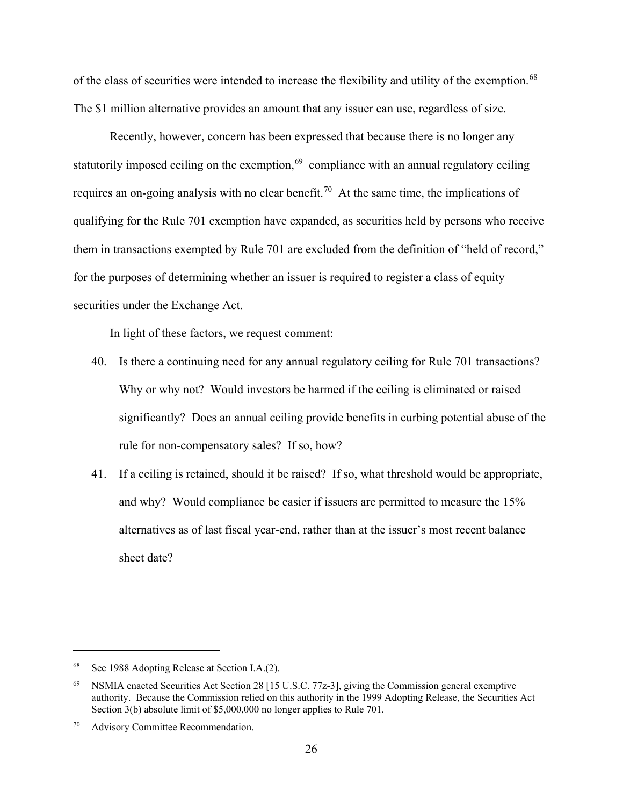of the class of securities were intended to increase the flexibility and utility of the exemption.<sup>[68](#page-25-0)</sup> The \$1 million alternative provides an amount that any issuer can use, regardless of size.

Recently, however, concern has been expressed that because there is no longer any statutorily imposed ceiling on the exemption, $69$  compliance with an annual regulatory ceiling requires an on-going analysis with no clear benefit.<sup>[70](#page-25-2)</sup> At the same time, the implications of qualifying for the Rule 701 exemption have expanded, as securities held by persons who receive them in transactions exempted by Rule 701 are excluded from the definition of "held of record," for the purposes of determining whether an issuer is required to register a class of equity securities under the Exchange Act.

In light of these factors, we request comment:

- 40. Is there a continuing need for any annual regulatory ceiling for Rule 701 transactions? Why or why not? Would investors be harmed if the ceiling is eliminated or raised significantly? Does an annual ceiling provide benefits in curbing potential abuse of the rule for non-compensatory sales? If so, how?
- 41. If a ceiling is retained, should it be raised? If so, what threshold would be appropriate, and why? Would compliance be easier if issuers are permitted to measure the 15% alternatives as of last fiscal year-end, rather than at the issuer's most recent balance sheet date?

<span id="page-25-0"></span><sup>68</sup> See 1988 Adopting Release at Section I.A.(2).

<span id="page-25-1"></span><sup>69</sup> NSMIA enacted Securities Act Section 28 [15 U.S.C. 77z-3], giving the Commission general exemptive authority. Because the Commission relied on this authority in the 1999 Adopting Release, the Securities Act Section 3(b) absolute limit of \$5,000,000 no longer applies to Rule 701.

<span id="page-25-2"></span>Advisory Committee Recommendation.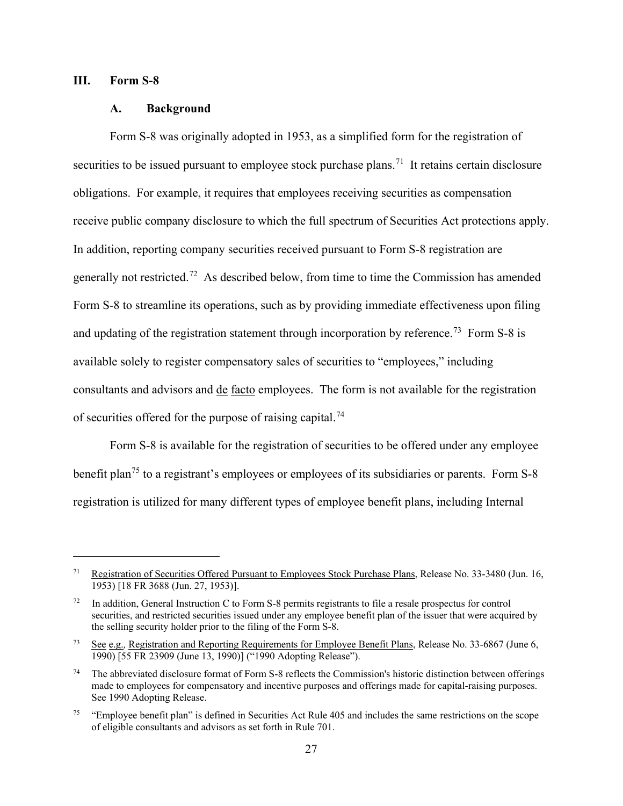## **III. Form S-8**

l

#### **A. Background**

Form S-8 was originally adopted in 1953, as a simplified form for the registration of securities to be issued pursuant to employee stock purchase plans.<sup>[71](#page-26-0)</sup> It retains certain disclosure obligations. For example, it requires that employees receiving securities as compensation receive public company disclosure to which the full spectrum of Securities Act protections apply. In addition, reporting company securities received pursuant to Form S-8 registration are generally not restricted.<sup>[72](#page-26-1)</sup> As described below, from time to time the Commission has amended Form S-8 to streamline its operations, such as by providing immediate effectiveness upon filing and updating of the registration statement through incorporation by reference.<sup>73</sup> Form S-8 is available solely to register compensatory sales of securities to "employees," including consultants and advisors and de facto employees. The form is not available for the registration of securities offered for the purpose of raising capital.<sup>74</sup>

Form S-8 is available for the registration of securities to be offered under any employee benefit plan<sup>[75](#page-26-4)</sup> to a registrant's employees or employees of its subsidiaries or parents. Form S-8 registration is utilized for many different types of employee benefit plans, including Internal

<span id="page-26-0"></span><sup>&</sup>lt;sup>71</sup> Registration of Securities Offered Pursuant to Employees Stock Purchase Plans, Release No. 33-3480 (Jun. 16, 1953) [18 FR 3688 (Jun. 27, 1953)].

<span id="page-26-1"></span><sup>72</sup> In addition, General Instruction C to Form S-8 permits registrants to file a resale prospectus for control securities, and restricted securities issued under any employee benefit plan of the issuer that were acquired by the selling security holder prior to the filing of the Form S-8.

<span id="page-26-2"></span><sup>73</sup> See e.g.*,* Registration and Reporting Requirements for Employee Benefit Plans, Release No. 33-6867 (June 6, 1990) [55 FR 23909 (June 13, 1990)] ("1990 Adopting Release").

<span id="page-26-3"></span><sup>&</sup>lt;sup>74</sup> The abbreviated disclosure format of Form S-8 reflects the Commission's historic distinction between offerings made to employees for compensatory and incentive purposes and offerings made for capital-raising purposes. See 1990 Adopting Release.

<span id="page-26-4"></span><sup>&</sup>lt;sup>75</sup> "Employee benefit plan" is defined in Securities Act Rule 405 and includes the same restrictions on the scope of eligible consultants and advisors as set forth in Rule 701.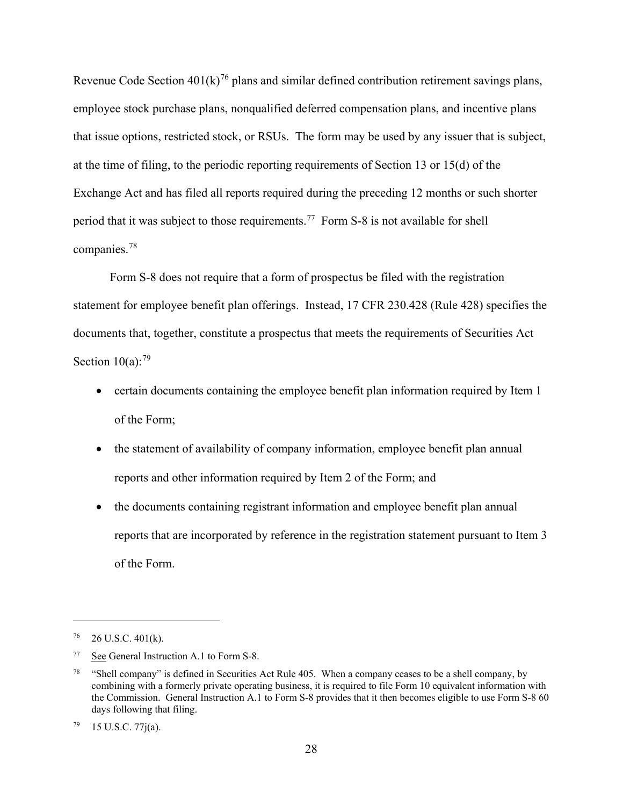Revenue Code Section  $401(k)^{76}$  $401(k)^{76}$  $401(k)^{76}$  plans and similar defined contribution retirement savings plans, employee stock purchase plans, nonqualified deferred compensation plans, and incentive plans that issue options, restricted stock, or RSUs. The form may be used by any issuer that is subject, at the time of filing, to the periodic reporting requirements of Section 13 or 15(d) of the Exchange Act and has filed all reports required during the preceding 12 months or such shorter period that it was subject to those requirements.[77](#page-27-1) Form S-8 is not available for shell companies.[78](#page-27-2) 

Form S-8 does not require that a form of prospectus be filed with the registration statement for employee benefit plan offerings. Instead, 17 CFR 230.428 (Rule 428) specifies the documents that, together, constitute a prospectus that meets the requirements of Securities Act Section  $10(a)$ :<sup>[79](#page-27-3)</sup>

- certain documents containing the employee benefit plan information required by Item 1 of the Form;
- the statement of availability of company information, employee benefit plan annual reports and other information required by Item 2 of the Form; and
- the documents containing registrant information and employee benefit plan annual reports that are incorporated by reference in the registration statement pursuant to Item 3 of the Form.

<span id="page-27-0"></span> $76$  26 U.S.C. 401(k).

<span id="page-27-1"></span><sup>77</sup> See General Instruction A.1 to Form S-8.

<span id="page-27-2"></span><sup>&</sup>lt;sup>78</sup> "Shell company" is defined in Securities Act Rule 405. When a company ceases to be a shell company, by combining with a formerly private operating business, it is required to file Form 10 equivalent information with the Commission. General Instruction A.1 to Form S-8 provides that it then becomes eligible to use Form S-8 60 days following that filing.

<span id="page-27-3"></span> $79$  15 U.S.C. 77 $j(a)$ .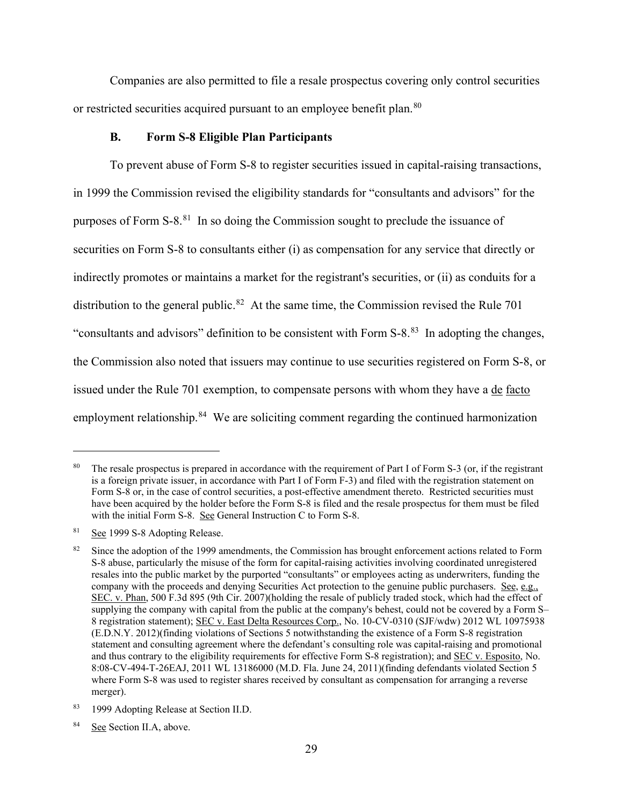Companies are also permitted to file a resale prospectus covering only control securities or restricted securities acquired pursuant to an employee benefit plan.<sup>[80](#page-28-0)</sup>

#### **B. Form S-8 Eligible Plan Participants**

To prevent abuse of Form S-8 to register securities issued in capital-raising transactions, in 1999 the Commission revised the eligibility standards for "consultants and advisors" for the purposes of Form S-8.[81](#page-28-1) In so doing the Commission sought to preclude the issuance of securities on Form S-8 to consultants either (i) as compensation for any service that directly or indirectly promotes or maintains a market for the registrant's securities, or (ii) as conduits for a distribution to the general public.<sup>[82](#page-28-2)</sup> At the same time, the Commission revised the Rule 701 "consultants and advisors" definition to be consistent with Form S-8.[83](#page-28-3) In adopting the changes, the Commission also noted that issuers may continue to use securities registered on Form S-8, or issued under the Rule 701 exemption, to compensate persons with whom they have a de facto employment relationship.<sup>[84](#page-28-4)</sup> We are soliciting comment regarding the continued harmonization

l

<span id="page-28-0"></span><sup>&</sup>lt;sup>80</sup> The resale prospectus is prepared in accordance with the requirement of Part I of Form S-3 (or, if the registrant is a foreign private issuer, in accordance with Part I of Form F-3) and filed with the registration statement on Form S-8 or, in the case of control securities, a post-effective amendment thereto. Restricted securities must have been acquired by the holder before the Form S-8 is filed and the resale prospectus for them must be filed with the initial Form S-8. See General Instruction C to Form S-8.

<span id="page-28-1"></span><sup>81</sup> See 1999 S-8 Adopting Release.

<span id="page-28-2"></span><sup>&</sup>lt;sup>82</sup> Since the adoption of the 1999 amendments, the Commission has brought enforcement actions related to Form S-8 abuse, particularly the misuse of the form for capital-raising activities involving coordinated unregistered resales into the public market by the purported "consultants" or employees acting as underwriters, funding the company with the proceeds and denying Securities Act protection to the genuine public purchasers. See, e.g., SEC. v. Phan, 500 F.3d 895 (9th Cir. 2007)(holding the resale of publicly traded stock, which had the effect of supplying the company with capital from the public at the company's behest, could not be covered by a Form S– 8 registration statement); SEC v. East Delta Resources Corp., No. 10-CV-0310 (SJF/wdw) 2012 WL 10975938 (E.D.N.Y. 2012)(finding violations of Sections 5 notwithstanding the existence of a Form S-8 registration statement and consulting agreement where the defendant's consulting role was capital-raising and promotional and thus contrary to the eligibility requirements for effective Form S-8 registration); and SEC v. Esposito, No. 8:08-CV-494-T-26EAJ, 2011 WL 13186000 (M.D. Fla. June 24, 2011)(finding defendants violated Section 5 where Form S-8 was used to register shares received by consultant as compensation for arranging a reverse merger).

<span id="page-28-3"></span><sup>83</sup> 1999 Adopting Release at Section II.D.

<span id="page-28-4"></span><sup>84</sup> See Section II.A, above.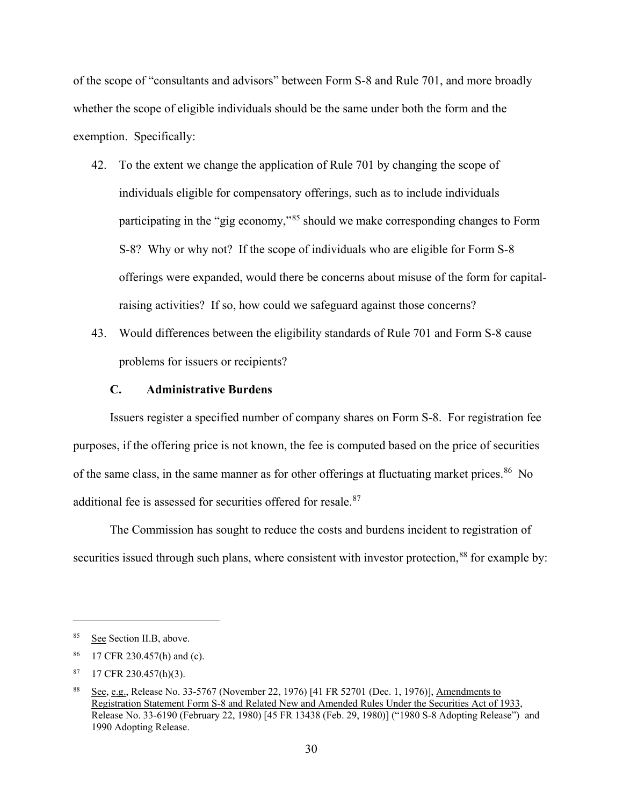of the scope of "consultants and advisors" between Form S-8 and Rule 701, and more broadly whether the scope of eligible individuals should be the same under both the form and the exemption. Specifically:

- 42. To the extent we change the application of Rule 701 by changing the scope of individuals eligible for compensatory offerings, such as to include individuals participating in the "gig economy,"[85](#page-29-0) should we make corresponding changes to Form S-8? Why or why not? If the scope of individuals who are eligible for Form S-8 offerings were expanded, would there be concerns about misuse of the form for capitalraising activities? If so, how could we safeguard against those concerns?
- 43. Would differences between the eligibility standards of Rule 701 and Form S-8 cause problems for issuers or recipients?

### **C. Administrative Burdens**

Issuers register a specified number of company shares on Form S-8. For registration fee purposes, if the offering price is not known, the fee is computed based on the price of securities of the same class, in the same manner as for other offerings at fluctuating market prices.<sup>[86](#page-29-1)</sup> No additional fee is assessed for securities offered for resale.<sup>[87](#page-29-2)</sup>

The Commission has sought to reduce the costs and burdens incident to registration of securities issued through such plans, where consistent with investor protection,<sup>[88](#page-29-3)</sup> for example by:

<span id="page-29-0"></span><sup>85</sup> See Section II.B, above.

<span id="page-29-1"></span> $86$  17 CFR 230.457(h) and (c).

<span id="page-29-2"></span> $87$  17 CFR 230.457(h)(3).

<span id="page-29-3"></span><sup>&</sup>lt;sup>88</sup> See, e.g., Release No. 33-5767 (November 22, 1976) [41 FR 52701 (Dec. 1, 1976)], Amendments to Registration Statement Form S-8 and Related New and Amended Rules Under the Securities Act of 1933, Release No. 33-6190 (February 22, 1980) [45 FR 13438 (Feb. 29, 1980)] ("1980 S-8 Adopting Release") and 1990 Adopting Release.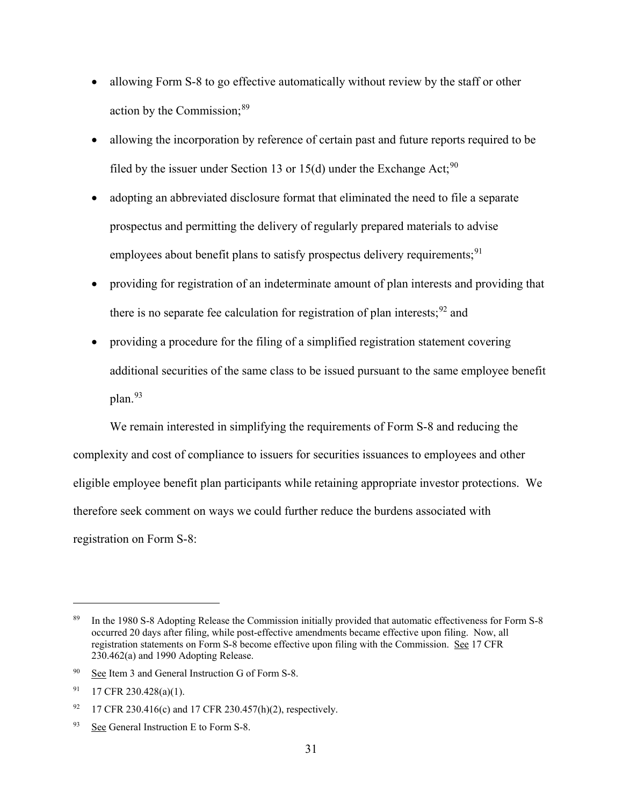- allowing Form S-8 to go effective automatically without review by the staff or other action by the Commission;<sup>[89](#page-30-0)</sup>
- allowing the incorporation by reference of certain past and future reports required to be filed by the issuer under Section 13 or 15(d) under the Exchange Act;<sup>[90](#page-30-1)</sup>
- adopting an abbreviated disclosure format that eliminated the need to file a separate prospectus and permitting the delivery of regularly prepared materials to advise employees about benefit plans to satisfy prospectus delivery requirements;  $91$
- providing for registration of an indeterminate amount of plan interests and providing that there is no separate fee calculation for registration of plan interests;  $92$  and
- providing a procedure for the filing of a simplified registration statement covering additional securities of the same class to be issued pursuant to the same employee benefit plan.<sup>[93](#page-30-4)</sup>

We remain interested in simplifying the requirements of Form S-8 and reducing the complexity and cost of compliance to issuers for securities issuances to employees and other eligible employee benefit plan participants while retaining appropriate investor protections. We therefore seek comment on ways we could further reduce the burdens associated with registration on Form S-8:

 $\overline{\phantom{a}}$ 

<span id="page-30-3"></span> $92$  17 CFR 230.416(c) and 17 CFR 230.457(h)(2), respectively.

<span id="page-30-0"></span><sup>89</sup> In the 1980 S-8 Adopting Release the Commission initially provided that automatic effectiveness for Form S-8 occurred 20 days after filing, while post-effective amendments became effective upon filing. Now, all registration statements on Form S-8 become effective upon filing with the Commission. See 17 CFR 230.462(a) and 1990 Adopting Release.

<span id="page-30-1"></span><sup>90</sup> See Item 3 and General Instruction G of Form S-8.

<span id="page-30-2"></span> $91$  17 CFR 230.428(a)(1).

<span id="page-30-4"></span><sup>&</sup>lt;sup>93</sup> See General Instruction E to Form S-8.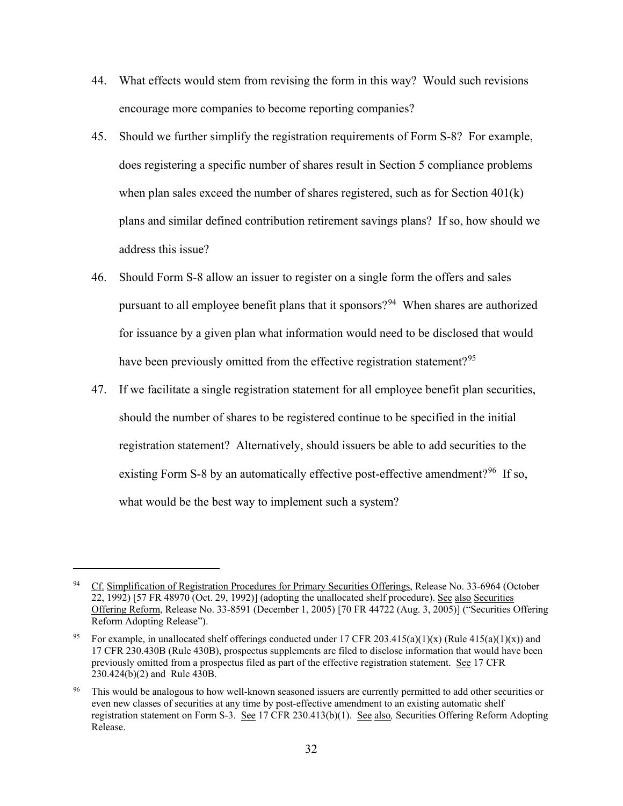- 44. What effects would stem from revising the form in this way? Would such revisions encourage more companies to become reporting companies?
- 45. Should we further simplify the registration requirements of Form S-8? For example, does registering a specific number of shares result in Section 5 compliance problems when plan sales exceed the number of shares registered, such as for Section  $401(k)$ plans and similar defined contribution retirement savings plans? If so, how should we address this issue?
- 46. Should Form S-8 allow an issuer to register on a single form the offers and sales pursuant to all employee benefit plans that it sponsors?<sup>94</sup> When shares are authorized for issuance by a given plan what information would need to be disclosed that would have been previously omitted from the effective registration statement?<sup>[95](#page-31-1)</sup>
- 47. If we facilitate a single registration statement for all employee benefit plan securities, should the number of shares to be registered continue to be specified in the initial registration statement? Alternatively, should issuers be able to add securities to the existing Form S-8 by an automatically effective post-effective amendment?<sup>96</sup> If so, what would be the best way to implement such a system?

l

<span id="page-31-0"></span><sup>&</sup>lt;sup>94</sup> Cf. Simplification of Registration Procedures for Primary Securities Offerings, Release No. 33-6964 (October 22, 1992) [57 FR 48970 (Oct. 29, 1992)] (adopting the unallocated shelf procedure). See also Securities Offering Reform, Release No. 33-8591 (December 1, 2005) [70 FR 44722 (Aug. 3, 2005)] ("Securities Offering Reform Adopting Release").

<span id="page-31-1"></span>For example, in unallocated shelf offerings conducted under 17 CFR 203.415(a)(1)(x) (Rule 415(a)(1)(x)) and 17 CFR 230.430B (Rule 430B), prospectus supplements are filed to disclose information that would have been previously omitted from a prospectus filed as part of the effective registration statement. See 17 CFR 230.424(b)(2) and Rule 430B.

<span id="page-31-2"></span><sup>96</sup> This would be analogous to how well-known seasoned issuers are currently permitted to add other securities or even new classes of securities at any time by post-effective amendment to an existing automatic shelf registration statement on Form S-3. See 17 CFR 230.413(b)(1). See also*,* Securities Offering Reform Adopting Release.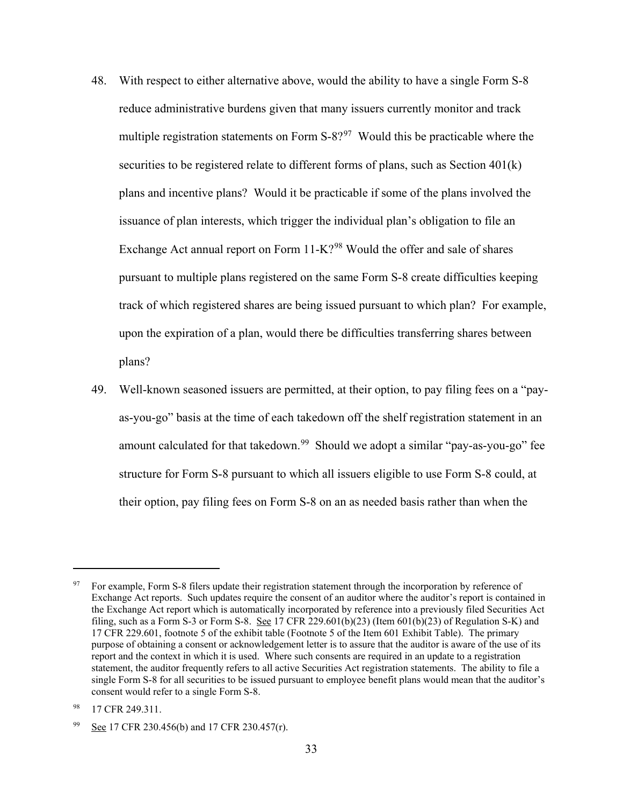- 48. With respect to either alternative above, would the ability to have a single Form S-8 reduce administrative burdens given that many issuers currently monitor and track multiple registration statements on Form  $S-8$ ?<sup>97</sup> Would this be practicable where the securities to be registered relate to different forms of plans, such as Section 401(k) plans and incentive plans? Would it be practicable if some of the plans involved the issuance of plan interests, which trigger the individual plan's obligation to file an Exchange Act annual report on Form 11-K?<sup>[98](#page-32-1)</sup> Would the offer and sale of shares pursuant to multiple plans registered on the same Form S-8 create difficulties keeping track of which registered shares are being issued pursuant to which plan? For example, upon the expiration of a plan, would there be difficulties transferring shares between plans?
- 49. Well-known seasoned issuers are permitted, at their option, to pay filing fees on a "payas-you-go" basis at the time of each takedown off the shelf registration statement in an amount calculated for that takedown.<sup>99</sup> Should we adopt a similar "pay-as-you-go" fee structure for Form S-8 pursuant to which all issuers eligible to use Form S-8 could, at their option, pay filing fees on Form S-8 on an as needed basis rather than when the

l

<span id="page-32-0"></span><sup>&</sup>lt;sup>97</sup> For example, Form S-8 filers update their registration statement through the incorporation by reference of Exchange Act reports. Such updates require the consent of an auditor where the auditor's report is contained in the Exchange Act report which is automatically incorporated by reference into a previously filed Securities Act filing, such as a Form S-3 or Form S-8. See 17 CFR 229.601(b)(23) (Item 601(b)(23) of Regulation S-K) and 17 CFR 229.601, footnote 5 of the exhibit table (Footnote 5 of the Item 601 Exhibit Table). The primary purpose of obtaining a consent or acknowledgement letter is to assure that the auditor is aware of the use of its report and the context in which it is used. Where such consents are required in an update to a registration statement, the auditor frequently refers to all active Securities Act registration statements. The ability to file a single Form S-8 for all securities to be issued pursuant to employee benefit plans would mean that the auditor's consent would refer to a single Form S-8.

<span id="page-32-1"></span><sup>98 17</sup> CFR 249.311.

<span id="page-32-2"></span><sup>&</sup>lt;sup>99</sup> See 17 CFR 230.456(b) and 17 CFR 230.457(r).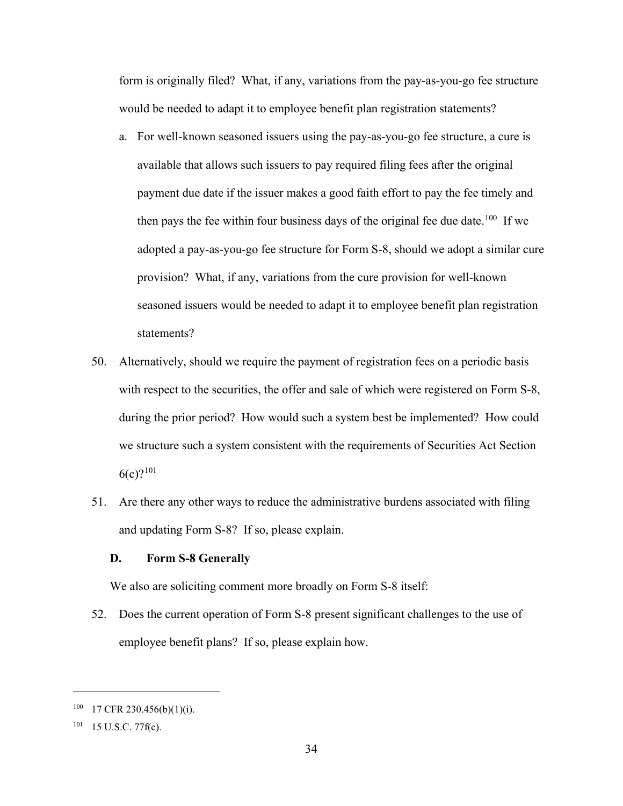form is originally filed? What, if any, variations from the pay-as-you-go fee structure would be needed to adapt it to employee benefit plan registration statements?

- a. For well-known seasoned issuers using the pay-as-you-go fee structure, a cure is available that allows such issuers to pay required filing fees after the original payment due date if the issuer makes a good faith effort to pay the fee timely and then pays the fee within four business days of the original fee due date.<sup>100</sup> If we adopted a pay-as-you-go fee structure for Form S-8, should we adopt a similar cure provision? What, if any, variations from the cure provision for well-known seasoned issuers would be needed to adapt it to employee benefit plan registration statements?
- 50. Alternatively, should we require the payment of registration fees on a periodic basis with respect to the securities, the offer and sale of which were registered on Form S-8, during the prior period? How would such a system best be implemented? How could we structure such a system consistent with the requirements of Securities Act Section  $6(c)$ ?<sup>[101](#page-33-1)</sup>
- 51. Are there any other ways to reduce the administrative burdens associated with filing and updating Form S-8? If so, please explain.

## **D. Form S-8 Generally**

We also are soliciting comment more broadly on Form S-8 itself:

52. Does the current operation of Form S-8 present significant challenges to the use of employee benefit plans? If so, please explain how.

<span id="page-33-0"></span><sup>100</sup> 17 CFR 230.456(b)(1)(i).

<span id="page-33-1"></span><sup>101</sup> 15 U.S.C. 77f(c).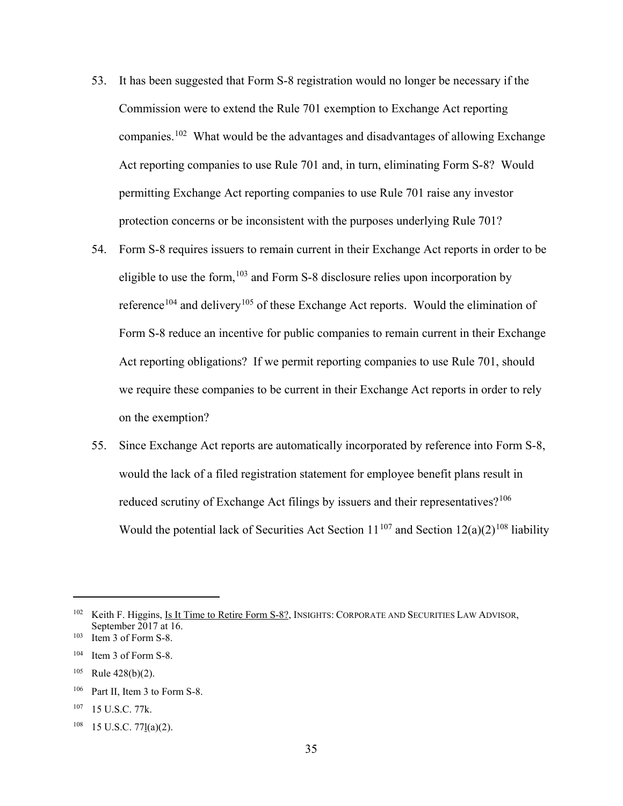- 53. It has been suggested that Form S-8 registration would no longer be necessary if the Commission were to extend the Rule 701 exemption to Exchange Act reporting companies.[102](#page-34-0) What would be the advantages and disadvantages of allowing Exchange Act reporting companies to use Rule 701 and, in turn, eliminating Form S-8? Would permitting Exchange Act reporting companies to use Rule 701 raise any investor protection concerns or be inconsistent with the purposes underlying Rule 701?
- 54. Form S-8 requires issuers to remain current in their Exchange Act reports in order to be eligible to use the form, <sup>[103](#page-34-1)</sup> and Form S-8 disclosure relies upon incorporation by reference<sup>[104](#page-34-2)</sup> and delivery<sup>[105](#page-34-3)</sup> of these Exchange Act reports. Would the elimination of Form S-8 reduce an incentive for public companies to remain current in their Exchange Act reporting obligations? If we permit reporting companies to use Rule 701, should we require these companies to be current in their Exchange Act reports in order to rely on the exemption?
- 55. Since Exchange Act reports are automatically incorporated by reference into Form S-8, would the lack of a filed registration statement for employee benefit plans result in reduced scrutiny of Exchange Act filings by issuers and their representatives?<sup>106</sup> Would the potential lack of Securities Act Section  $11^{107}$  $11^{107}$  $11^{107}$  and Section  $12(a)(2)^{108}$  $12(a)(2)^{108}$  $12(a)(2)^{108}$  liability

<span id="page-34-0"></span><sup>102</sup> Keith F. Higgins, Is It Time to Retire Form S-8?, INSIGHTS: CORPORATE AND SECURITIES LAW ADVISOR, September 2017 at 16.<br><sup>103</sup> Item 3 of Form S-8.

<span id="page-34-1"></span>

<span id="page-34-2"></span><sup>104</sup> Item 3 of Form S-8.

<span id="page-34-3"></span> $105$  Rule 428(b)(2).

<span id="page-34-4"></span><sup>106</sup> Part II, Item 3 to Form S-8.

<span id="page-34-5"></span><sup>107</sup> 15 U.S.C. 77k.

<span id="page-34-6"></span> $108$  15 U.S.C. 77 $\underline{1}(a)(2)$ .